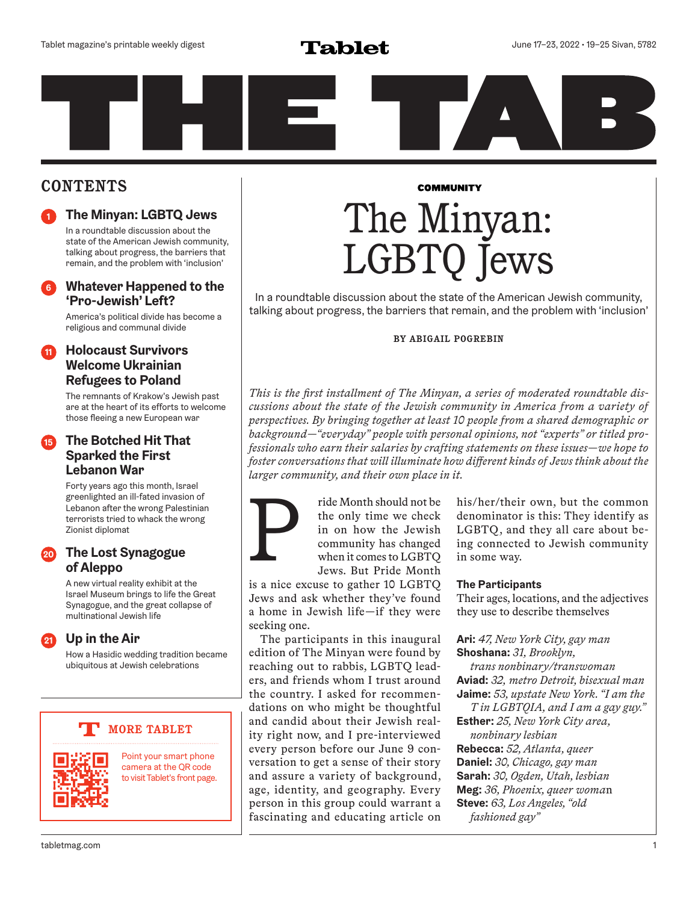# **CONTENTS**

**<sup>1</sup> The Minyan: LGBTQ Jews**

In a roundtable discussion about the state of the American Jewish community, talking about progress, the barriers that remain, and the problem with 'inclusion'

# **<sup>6</sup> Whatever Happened to the 'Pro-Jewish' Left?**

America's political divide has become a religious and communal divide

# **<sup>11</sup> Holocaust Survivors Welcome Ukrainian Refugees to Poland**

The remnants of Krakow's Jewish past are at the heart of its efforts to welcome those fleeing a new European war

# **<sup>15</sup> The Botched Hit That Sparked the First Lebanon War**

Forty years ago this month, Israel greenlighted an ill-fated invasion of Lebanon after the wrong Palestinian terrorists tried to whack the wrong Zionist diplomat

# **<sup>20</sup> The Lost Synagogue of Aleppo**

A new virtual reality exhibit at the Israel Museum brings to life the Great Synagogue, and the great collapse of multinational Jewish life

**<sup>21</sup> Up in the Air**

How a Hasidic wedding tradition became ubiquitous at Jewish celebrations

# **MORE TABLET**



Point your smart phone camera at the QR code to visit Tablet's front page.

### **COMMUNITY**

# The Minyan: LGBTQ Jews

In a roundtable discussion about the state of the American Jewish community, talking about progress, the barriers that remain, and the problem with 'inclusion'

# **BY ABIGAIL POGREBIN**

*This is the first installment of The Minyan, a series of moderated roundtable discussions about the state of the Jewish community in America from a variety of perspectives. By bringing together at least 10 people from a shared demographic or background—"everyday" people with personal opinions, not "experts" or titled professionals who earn their salaries by crafting statements on these issues—we hope to foster conversations that will illuminate how different kinds of Jews think about the larger community, and their own place in it.*



ride Month should not be the only time we check in on how the Jewish community has changed when it comes to LGBTQ Jews. But Pride Month

is a nice excuse to gather 10 LGBTQ Jews and ask whether they've found a home in Jewish life—if they were seeking one.

The participants in this inaugural edition of The Minyan were found by reaching out to rabbis, LGBTQ leaders, and friends whom I trust around the country. I asked for recommendations on who might be thoughtful and candid about their Jewish reality right now, and I pre-interviewed every person before our June 9 conversation to get a sense of their story and assure a variety of background, age, identity, and geography. Every person in this group could warrant a fascinating and educating article on

his/her/their own, but the common denominator is this: They identify as LGBTQ, and they all care about being connected to Jewish community in some way.

### **The Participants**

Their ages, locations, and the adjectives they use to describe themselves

**Ari:** *47, New York City, gay man* **Shoshana:** *31, Brooklyn,* 

*trans nonbinary/transwoman* **Aviad:** *32, metro Detroit, bisexual man* **Jaime:** *53, upstate New York. "I am the* 

*T in LGBTQIA, and I am a gay guy."* **Esther:** *25, New York City area,* 

*nonbinary lesbian* **Rebecca:** *52, Atlanta, queer* **Daniel:** *30, Chicago, gay man* **Sarah:** *30, Ogden, Utah, lesbian* **Meg:** *36, Phoenix, queer woma*n **Steve:** *63, Los Angeles, "old fashioned gay"*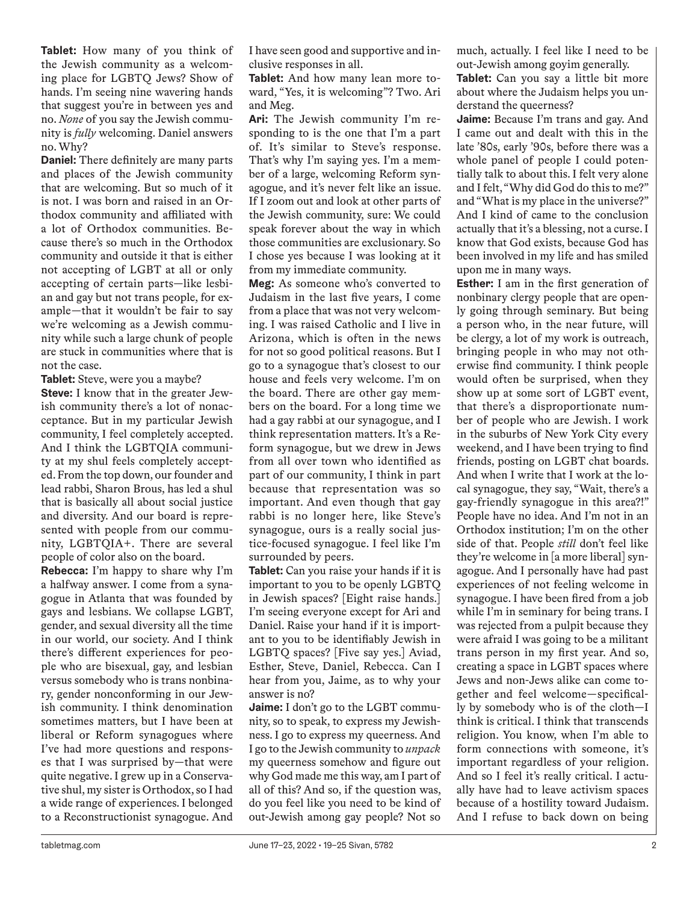**Tablet:** How many of you think of the Jewish community as a welcoming place for LGBTQ Jews? Show of hands. I'm seeing nine wavering hands that suggest you're in between yes and no. *None* of you say the Jewish community is *fully* welcoming. Daniel answers no. Why?

**Daniel:** There definitely are many parts and places of the Jewish community that are welcoming. But so much of it is not. I was born and raised in an Orthodox community and affiliated with a lot of Orthodox communities. Because there's so much in the Orthodox community and outside it that is either not accepting of LGBT at all or only accepting of certain parts—like lesbian and gay but not trans people, for example—that it wouldn't be fair to say we're welcoming as a Jewish community while such a large chunk of people are stuck in communities where that is not the case.

**Tablet:** Steve, were you a maybe?

**Steve:** I know that in the greater Jewish community there's a lot of nonacceptance. But in my particular Jewish community, I feel completely accepted. And I think the LGBTQIA community at my shul feels completely accepted. From the top down, our founder and lead rabbi, Sharon Brous, has led a shul that is basically all about social justice and diversity. And our board is represented with people from our community, LGBTQIA+. There are several people of color also on the board.

**Rebecca:** I'm happy to share why I'm a halfway answer. I come from a synagogue in Atlanta that was founded by gays and lesbians. We collapse LGBT, gender, and sexual diversity all the time in our world, our society. And I think there's different experiences for people who are bisexual, gay, and lesbian versus somebody who is trans nonbinary, gender nonconforming in our Jewish community. I think denomination sometimes matters, but I have been at liberal or Reform synagogues where I've had more questions and responses that I was surprised by—that were quite negative. I grew up in a Conservative shul, my sister is Orthodox, so I had a wide range of experiences. I belonged to a Reconstructionist synagogue. And

I have seen good and supportive and inclusive responses in all.

**Tablet:** And how many lean more toward, "Yes, it is welcoming"? Two. Ari and Meg.

**Ari:** The Jewish community I'm responding to is the one that I'm a part of. It's similar to Steve's response. That's why I'm saying yes. I'm a member of a large, welcoming Reform synagogue, and it's never felt like an issue. If I zoom out and look at other parts of the Jewish community, sure: We could speak forever about the way in which those communities are exclusionary. So I chose yes because I was looking at it from my immediate community.

**Meg:** As someone who's converted to Judaism in the last five years, I come from a place that was not very welcoming. I was raised Catholic and I live in Arizona, which is often in the news for not so good political reasons. But I go to a synagogue that's closest to our house and feels very welcome. I'm on the board. There are other gay members on the board. For a long time we had a gay rabbi at our synagogue, and I think representation matters. It's a Reform synagogue, but we drew in Jews from all over town who identified as part of our community, I think in part because that representation was so important. And even though that gay rabbi is no longer here, like Steve's synagogue, ours is a really social justice-focused synagogue. I feel like I'm surrounded by peers.

**Tablet:** Can you raise your hands if it is important to you to be openly LGBTQ in Jewish spaces? [Eight raise hands.] I'm seeing everyone except for Ari and Daniel. Raise your hand if it is important to you to be identifiably Jewish in LGBTQ spaces? [Five say yes.] Aviad, Esther, Steve, Daniel, Rebecca. Can I hear from you, Jaime, as to why your answer is no?

**Jaime:** I don't go to the LGBT community, so to speak, to express my Jewishness. I go to express my queerness. And I go to the Jewish community to *unpack* my queerness somehow and figure out why God made me this way, am I part of all of this? And so, if the question was, do you feel like you need to be kind of out-Jewish among gay people? Not so much, actually. I feel like I need to be out-Jewish among goyim generally. **Tablet:** Can you say a little bit more

about where the Judaism helps you understand the queerness?

**Jaime:** Because I'm trans and gay. And I came out and dealt with this in the late '80s, early '90s, before there was a whole panel of people I could potentially talk to about this. I felt very alone and I felt, "Why did God do this to me?" and "What is my place in the universe?" And I kind of came to the conclusion actually that it's a blessing, not a curse. I know that God exists, because God has been involved in my life and has smiled upon me in many ways.

**Esther:** I am in the first generation of nonbinary clergy people that are openly going through seminary. But being a person who, in the near future, will be clergy, a lot of my work is outreach, bringing people in who may not otherwise find community. I think people would often be surprised, when they show up at some sort of LGBT event, that there's a disproportionate number of people who are Jewish. I work in the suburbs of New York City every weekend, and I have been trying to find friends, posting on LGBT chat boards. And when I write that I work at the local synagogue, they say, "Wait, there's a gay-friendly synagogue in this area?!" People have no idea. And I'm not in an Orthodox institution; I'm on the other side of that. People *still* don't feel like they're welcome in [a more liberal] synagogue. And I personally have had past experiences of not feeling welcome in synagogue. I have been fired from a job while I'm in seminary for being trans. I was rejected from a pulpit because they were afraid I was going to be a militant trans person in my first year. And so, creating a space in LGBT spaces where Jews and non-Jews alike can come together and feel welcome—specifically by somebody who is of the cloth—I think is critical. I think that transcends religion. You know, when I'm able to form connections with someone, it's important regardless of your religion. And so I feel it's really critical. I actually have had to leave activism spaces because of a hostility toward Judaism. And I refuse to back down on being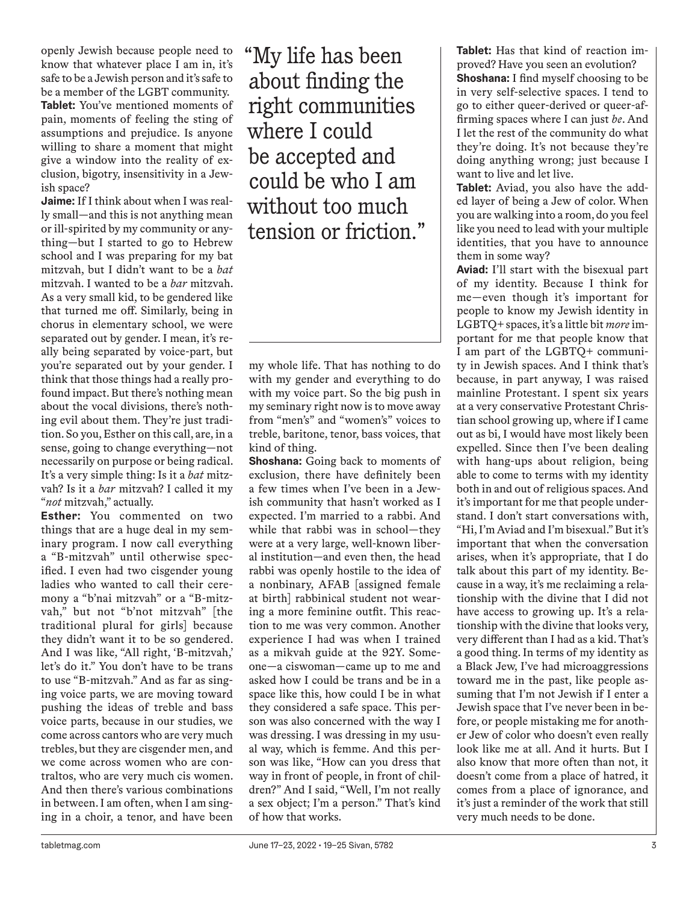openly Jewish because people need to know that whatever place I am in, it's safe to be a Jewish person and it's safe to be a member of the LGBT community. **Tablet:** You've mentioned moments of pain, moments of feeling the sting of assumptions and prejudice. Is anyone willing to share a moment that might give a window into the reality of exclusion, bigotry, insensitivity in a Jewish space?

**Jaime:** If I think about when I was really small—and this is not anything mean or ill-spirited by my community or anything—but I started to go to Hebrew school and I was preparing for my bat mitzvah, but I didn't want to be a *bat* mitzvah. I wanted to be a *bar* mitzvah. As a very small kid, to be gendered like that turned me off. Similarly, being in chorus in elementary school, we were separated out by gender. I mean, it's really being separated by voice-part, but you're separated out by your gender. I think that those things had a really profound impact. But there's nothing mean about the vocal divisions, there's nothing evil about them. They're just tradition. So you, Esther on this call, are, in a sense, going to change everything—not necessarily on purpose or being radical. It's a very simple thing: Is it a *bat* mitzvah? Is it a *bar* mitzvah? I called it my "*not* mitzvah," actually.

**Esther:** You commented on two things that are a huge deal in my seminary program. I now call everything a "B-mitzvah" until otherwise specified. I even had two cisgender young ladies who wanted to call their ceremony a "b'nai mitzvah" or a "B-mitzvah," but not "b'not mitzvah" [the traditional plural for girls] because they didn't want it to be so gendered. And I was like, "All right, 'B-mitzvah,' let's do it." You don't have to be trans to use "B-mitzvah." And as far as singing voice parts, we are moving toward pushing the ideas of treble and bass voice parts, because in our studies, we come across cantors who are very much trebles, but they are cisgender men, and we come across women who are contraltos, who are very much cis women. And then there's various combinations in between. I am often, when I am singing in a choir, a tenor, and have been "My life has been about finding the right communities where I could be accepted and could be who I am without too much tension or friction."

my whole life. That has nothing to do with my gender and everything to do with my voice part. So the big push in my seminary right now is to move away from "men's" and "women's" voices to treble, baritone, tenor, bass voices, that kind of thing.

**Shoshana:** Going back to moments of exclusion, there have definitely been a few times when I've been in a Jewish community that hasn't worked as I expected. I'm married to a rabbi. And while that rabbi was in school—they were at a very large, well-known liberal institution—and even then, the head rabbi was openly hostile to the idea of a nonbinary, AFAB [assigned female at birth] rabbinical student not wearing a more feminine outfit. This reaction to me was very common. Another experience I had was when I trained as a mikvah guide at the 92Y. Someone—a ciswoman—came up to me and asked how I could be trans and be in a space like this, how could I be in what they considered a safe space. This person was also concerned with the way I was dressing. I was dressing in my usual way, which is femme. And this person was like, "How can you dress that way in front of people, in front of children?" And I said, "Well, I'm not really a sex object; I'm a person." That's kind of how that works.

**Tablet:** Has that kind of reaction improved? Have you seen an evolution? **Shoshana:** I find myself choosing to be in very self-selective spaces. I tend to go to either queer-derived or queer-affirming spaces where I can just *be*. And I let the rest of the community do what they're doing. It's not because they're doing anything wrong; just because I want to live and let live.

**Tablet:** Aviad, you also have the added layer of being a Jew of color. When you are walking into a room, do you feel like you need to lead with your multiple identities, that you have to announce them in some way?

**Aviad:** I'll start with the bisexual part of my identity. Because I think for me—even though it's important for people to know my Jewish identity in LGBTQ+ spaces, it's a little bit *more* important for me that people know that I am part of the LGBTQ+ community in Jewish spaces. And I think that's because, in part anyway, I was raised mainline Protestant. I spent six years at a very conservative Protestant Christian school growing up, where if I came out as bi, I would have most likely been expelled. Since then I've been dealing with hang-ups about religion, being able to come to terms with my identity both in and out of religious spaces. And it's important for me that people understand. I don't start conversations with, "Hi, I'm Aviad and I'm bisexual." But it's important that when the conversation arises, when it's appropriate, that I do talk about this part of my identity. Because in a way, it's me reclaiming a relationship with the divine that I did not have access to growing up. It's a relationship with the divine that looks very, very different than I had as a kid. That's a good thing. In terms of my identity as a Black Jew, I've had microaggressions toward me in the past, like people assuming that I'm not Jewish if I enter a Jewish space that I've never been in before, or people mistaking me for another Jew of color who doesn't even really look like me at all. And it hurts. But I also know that more often than not, it doesn't come from a place of hatred, it comes from a place of ignorance, and it's just a reminder of the work that still very much needs to be done.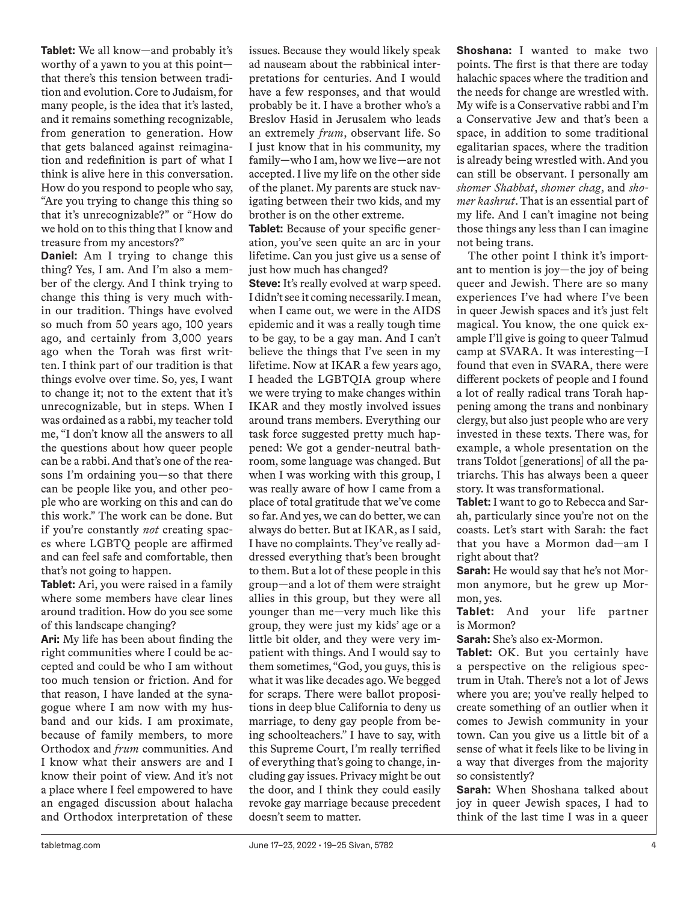**Tablet:** We all know—and probably it's worthy of a yawn to you at this point that there's this tension between tradition and evolution. Core to Judaism, for many people, is the idea that it's lasted, and it remains something recognizable, from generation to generation. How that gets balanced against reimagination and redefinition is part of what I think is alive here in this conversation. How do you respond to people who say, "Are you trying to change this thing so that it's unrecognizable?" or "How do we hold on to this thing that I know and treasure from my ancestors?"

**Daniel:** Am I trying to change this thing? Yes, I am. And I'm also a member of the clergy. And I think trying to change this thing is very much within our tradition. Things have evolved so much from 50 years ago, 100 years ago, and certainly from 3,000 years ago when the Torah was first written. I think part of our tradition is that things evolve over time. So, yes, I want to change it; not to the extent that it's unrecognizable, but in steps. When I was ordained as a rabbi, my teacher told me, "I don't know all the answers to all the questions about how queer people can be a rabbi. And that's one of the reasons I'm ordaining you—so that there can be people like you, and other people who are working on this and can do this work." The work can be done. But if you're constantly *not* creating spaces where LGBTQ people are affirmed and can feel safe and comfortable, then that's not going to happen.

**Tablet:** Ari, you were raised in a family where some members have clear lines around tradition. How do you see some of this landscape changing?

**Ari:** My life has been about finding the right communities where I could be accepted and could be who I am without too much tension or friction. And for that reason, I have landed at the synagogue where I am now with my husband and our kids. I am proximate, because of family members, to more Orthodox and *frum* communities. And I know what their answers are and I know their point of view. And it's not a place where I feel empowered to have an engaged discussion about halacha and Orthodox interpretation of these

issues. Because they would likely speak ad nauseam about the rabbinical interpretations for centuries. And I would have a few responses, and that would probably be it. I have a brother who's a Breslov Hasid in Jerusalem who leads an extremely *frum*, observant life. So I just know that in his community, my family—who I am, how we live—are not accepted. I live my life on the other side of the planet. My parents are stuck navigating between their two kids, and my brother is on the other extreme.

**Tablet:** Because of your specific generation, you've seen quite an arc in your lifetime. Can you just give us a sense of just how much has changed?

**Steve:** It's really evolved at warp speed. I didn't see it coming necessarily. I mean, when I came out, we were in the AIDS epidemic and it was a really tough time to be gay, to be a gay man. And I can't believe the things that I've seen in my lifetime. Now at IKAR a few years ago, I headed the LGBTQIA group where we were trying to make changes within IKAR and they mostly involved issues around trans members. Everything our task force suggested pretty much happened: We got a gender-neutral bathroom, some language was changed. But when I was working with this group, I was really aware of how I came from a place of total gratitude that we've come so far. And yes, we can do better, we can always do better. But at IKAR, as I said, I have no complaints. They've really addressed everything that's been brought to them. But a lot of these people in this group—and a lot of them were straight allies in this group, but they were all younger than me—very much like this group, they were just my kids' age or a little bit older, and they were very impatient with things. And I would say to them sometimes, "God, you guys, this is what it was like decades ago. We begged for scraps. There were ballot propositions in deep blue California to deny us marriage, to deny gay people from being schoolteachers." I have to say, with this Supreme Court, I'm really terrified of everything that's going to change, including gay issues. Privacy might be out the door, and I think they could easily revoke gay marriage because precedent doesn't seem to matter.

**Shoshana:** I wanted to make two points. The first is that there are today halachic spaces where the tradition and the needs for change are wrestled with. My wife is a Conservative rabbi and I'm a Conservative Jew and that's been a space, in addition to some traditional egalitarian spaces, where the tradition is already being wrestled with. And you can still be observant. I personally am *shomer Shabbat*, *shomer chag*, and *shomer kashrut*. That is an essential part of my life. And I can't imagine not being those things any less than I can imagine not being trans.

The other point I think it's important to mention is joy—the joy of being queer and Jewish. There are so many experiences I've had where I've been in queer Jewish spaces and it's just felt magical. You know, the one quick example I'll give is going to queer Talmud camp at SVARA. It was interesting—I found that even in SVARA, there were different pockets of people and I found a lot of really radical trans Torah happening among the trans and nonbinary clergy, but also just people who are very invested in these texts. There was, for example, a whole presentation on the trans Toldot [generations] of all the patriarchs. This has always been a queer story. It was transformational.

**Tablet:** I want to go to Rebecca and Sarah, particularly since you're not on the coasts. Let's start with Sarah: the fact that you have a Mormon dad—am I right about that?

**Sarah:** He would say that he's not Mormon anymore, but he grew up Mormon, yes.

**Tablet:** And your life partner is Mormon?

**Sarah:** She's also ex-Mormon.

**Tablet:** OK. But you certainly have a perspective on the religious spectrum in Utah. There's not a lot of Jews where you are; you've really helped to create something of an outlier when it comes to Jewish community in your town. Can you give us a little bit of a sense of what it feels like to be living in a way that diverges from the majority so consistently?

**Sarah:** When Shoshana talked about joy in queer Jewish spaces, I had to think of the last time I was in a queer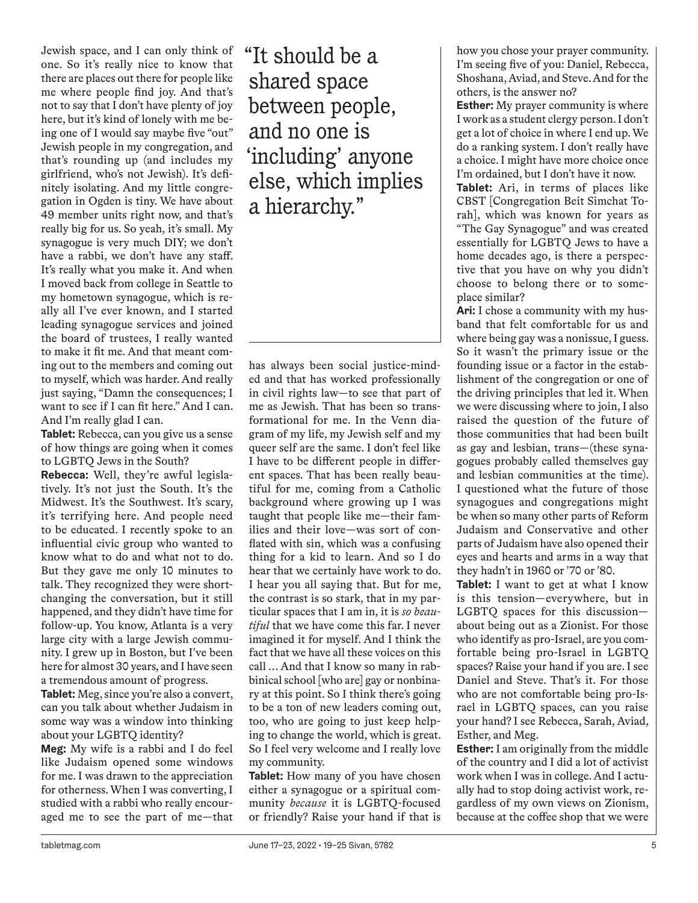Jewish space, and I can only think of one. So it's really nice to know that there are places out there for people like me where people find joy. And that's not to say that I don't have plenty of joy here, but it's kind of lonely with me being one of I would say maybe five "out" Jewish people in my congregation, and that's rounding up (and includes my girlfriend, who's not Jewish). It's definitely isolating. And my little congregation in Ogden is tiny. We have about 49 member units right now, and that's really big for us. So yeah, it's small. My synagogue is very much DIY; we don't have a rabbi, we don't have any staff. It's really what you make it. And when I moved back from college in Seattle to my hometown synagogue, which is really all I've ever known, and I started leading synagogue services and joined the board of trustees, I really wanted to make it fit me. And that meant coming out to the members and coming out to myself, which was harder. And really just saying, "Damn the consequences; I want to see if I can fit here." And I can. And I'm really glad I can.

**Tablet:** Rebecca, can you give us a sense of how things are going when it comes to LGBTQ Jews in the South?

**Rebecca:** Well, they're awful legislatively. It's not just the South. It's the Midwest. It's the Southwest. It's scary, it's terrifying here. And people need to be educated. I recently spoke to an influential civic group who wanted to know what to do and what not to do. But they gave me only 10 minutes to talk. They recognized they were shortchanging the conversation, but it still happened, and they didn't have time for follow-up. You know, Atlanta is a very large city with a large Jewish community. I grew up in Boston, but I've been here for almost 30 years, and I have seen a tremendous amount of progress.

**Tablet:** Meg, since you're also a convert, can you talk about whether Judaism in some way was a window into thinking about your LGBTQ identity?

**Meg:** My wife is a rabbi and I do feel like Judaism opened some windows for me. I was drawn to the appreciation for otherness. When I was converting, I studied with a rabbi who really encouraged me to see the part of me—that "It should be a shared space between people, and no one is 'including' anyone else, which implies a hierarchy."

has always been social justice-minded and that has worked professionally in civil rights law—to see that part of me as Jewish. That has been so transformational for me. In the Venn diagram of my life, my Jewish self and my queer self are the same. I don't feel like I have to be different people in different spaces. That has been really beautiful for me, coming from a Catholic background where growing up I was taught that people like me—their families and their love—was sort of conflated with sin, which was a confusing thing for a kid to learn. And so I do hear that we certainly have work to do. I hear you all saying that. But for me, the contrast is so stark, that in my particular spaces that I am in, it is *so beautiful* that we have come this far. I never imagined it for myself. And I think the fact that we have all these voices on this call … And that I know so many in rabbinical school [who are] gay or nonbinary at this point. So I think there's going to be a ton of new leaders coming out, too, who are going to just keep helping to change the world, which is great. So I feel very welcome and I really love my community.

**Tablet:** How many of you have chosen either a synagogue or a spiritual community *because* it is LGBTQ-focused or friendly? Raise your hand if that is how you chose your prayer community. I'm seeing five of you: Daniel, Rebecca, Shoshana, Aviad, and Steve. And for the others, is the answer no?

**Esther:** My prayer community is where I work as a student clergy person. I don't get a lot of choice in where I end up. We do a ranking system. I don't really have a choice. I might have more choice once I'm ordained, but I don't have it now.

**Tablet:** Ari, in terms of places like CBST [Congregation Beit Simchat Torah], which was known for years as "The Gay Synagogue" and was created essentially for LGBTQ Jews to have a home decades ago, is there a perspective that you have on why you didn't choose to belong there or to someplace similar?

**Ari:** I chose a community with my husband that felt comfortable for us and where being gay was a nonissue, I guess. So it wasn't the primary issue or the founding issue or a factor in the establishment of the congregation or one of the driving principles that led it. When we were discussing where to join, I also raised the question of the future of those communities that had been built as gay and lesbian, trans—(these synagogues probably called themselves gay and lesbian communities at the time). I questioned what the future of those synagogues and congregations might be when so many other parts of Reform Judaism and Conservative and other parts of Judaism have also opened their eyes and hearts and arms in a way that they hadn't in 1960 or '70 or '80.

**Tablet:** I want to get at what I know is this tension—everywhere, but in LGBTQ spaces for this discussion about being out as a Zionist. For those who identify as pro-Israel, are you comfortable being pro-Israel in LGBTQ spaces? Raise your hand if you are. I see Daniel and Steve. That's it. For those who are not comfortable being pro-Israel in LGBTQ spaces, can you raise your hand? I see Rebecca, Sarah, Aviad, Esther, and Meg.

**Esther:** I am originally from the middle of the country and I did a lot of activist work when I was in college. And I actually had to stop doing activist work, regardless of my own views on Zionism, because at the coffee shop that we were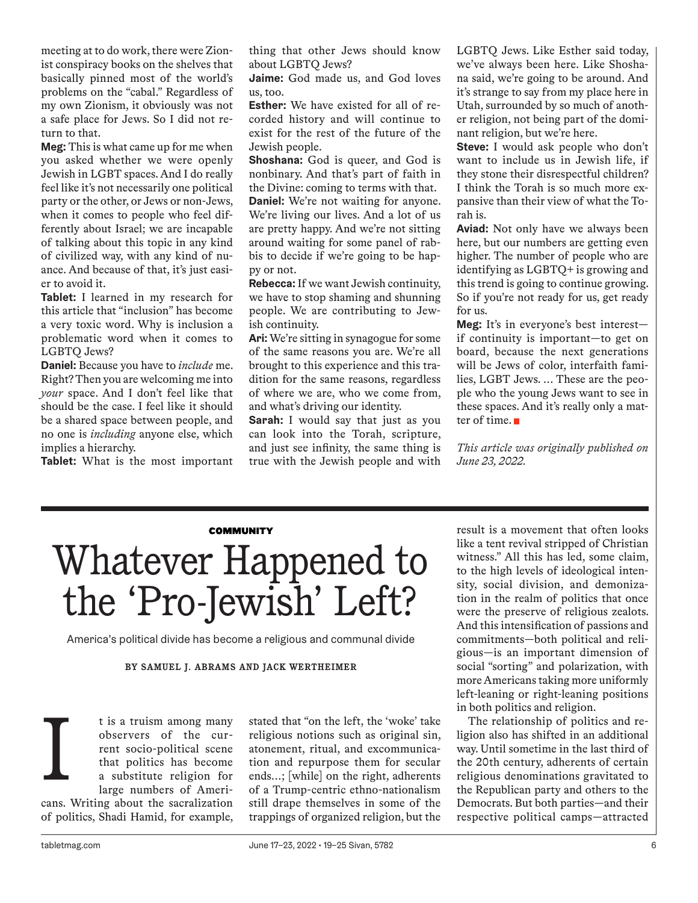meeting at to do work, there were Zionist conspiracy books on the shelves that basically pinned most of the world's problems on the "cabal." Regardless of my own Zionism, it obviously was not a safe place for Jews. So I did not return to that.

**Meg:** This is what came up for me when you asked whether we were openly Jewish in LGBT spaces. And I do really feel like it's not necessarily one political party or the other, or Jews or non-Jews, when it comes to people who feel differently about Israel; we are incapable of talking about this topic in any kind of civilized way, with any kind of nuance. And because of that, it's just easier to avoid it.

**Tablet:** I learned in my research for this article that "inclusion" has become a very toxic word. Why is inclusion a problematic word when it comes to LGBTQ Jews?

**Daniel:** Because you have to *include* me. Right? Then you are welcoming me into *your* space. And I don't feel like that should be the case. I feel like it should be a shared space between people, and no one is *including* anyone else, which implies a hierarchy.

**Tablet:** What is the most important

thing that other Jews should know about LGBTQ Jews?

**Jaime:** God made us, and God loves us, too.

**Esther:** We have existed for all of recorded history and will continue to exist for the rest of the future of the Jewish people.

**Shoshana:** God is queer, and God is nonbinary. And that's part of faith in the Divine: coming to terms with that. **Daniel:** We're not waiting for anyone. We're living our lives. And a lot of us are pretty happy. And we're not sitting around waiting for some panel of rabbis to decide if we're going to be happy or not.

**Rebecca:** If we want Jewish continuity, we have to stop shaming and shunning people. We are contributing to Jewish continuity.

**Ari:** We're sitting in synagogue for some of the same reasons you are. We're all brought to this experience and this tradition for the same reasons, regardless of where we are, who we come from, and what's driving our identity.

**Sarah:** I would say that just as you can look into the Torah, scripture, and just see infinity, the same thing is true with the Jewish people and with

LGBTQ Jews. Like Esther said today, we've always been here. Like Shoshana said, we're going to be around. And it's strange to say from my place here in Utah, surrounded by so much of another religion, not being part of the dominant religion, but we're here.

**Steve:** I would ask people who don't want to include us in Jewish life, if they stone their disrespectful children? I think the Torah is so much more expansive than their view of what the Torah is.

**Aviad:** Not only have we always been here, but our numbers are getting even higher. The number of people who are identifying as LGBTQ+ is growing and this trend is going to continue growing. So if you're not ready for us, get ready for us.

**Meg:** It's in everyone's best interest if continuity is important—to get on board, because the next generations will be Jews of color, interfaith families, LGBT Jews. … These are the people who the young Jews want to see in these spaces. And it's really only a matter of time.

*This article was originally published on June 23, 2022.*

# **COMMUNITY** Whatever Happened to the 'Pro-Jewish' Left?

America's political divide has become a religious and communal divide

### **BY SAMUEL J. ABRAMS AND JACK WERTHEIMER**

t is a truism among many observers of the current socio-political scene that politics has become a substitute religion for large numbers of Americans. Writing about the sacralization of politics, Shadi Hamid, for example, I

stated that "on the left, the 'woke' take religious notions such as original sin, atonement, ritual, and excommunication and repurpose them for secular ends…; [while] on the right, adherents of a Trump-centric ethno-nationalism still drape themselves in some of the trappings of organized religion, but the result is a movement that often looks like a tent revival stripped of Christian witness." All this has led, some claim, to the high levels of ideological intensity, social division, and demonization in the realm of politics that once were the preserve of religious zealots. And this intensification of passions and commitments—both political and religious—is an important dimension of social "sorting" and polarization, with more Americans taking more uniformly left-leaning or right-leaning positions in both politics and religion.

The relationship of politics and religion also has shifted in an additional way. Until sometime in the last third of the 20th century, adherents of certain religious denominations gravitated to the Republican party and others to the Democrats. But both parties—and their respective political camps—attracted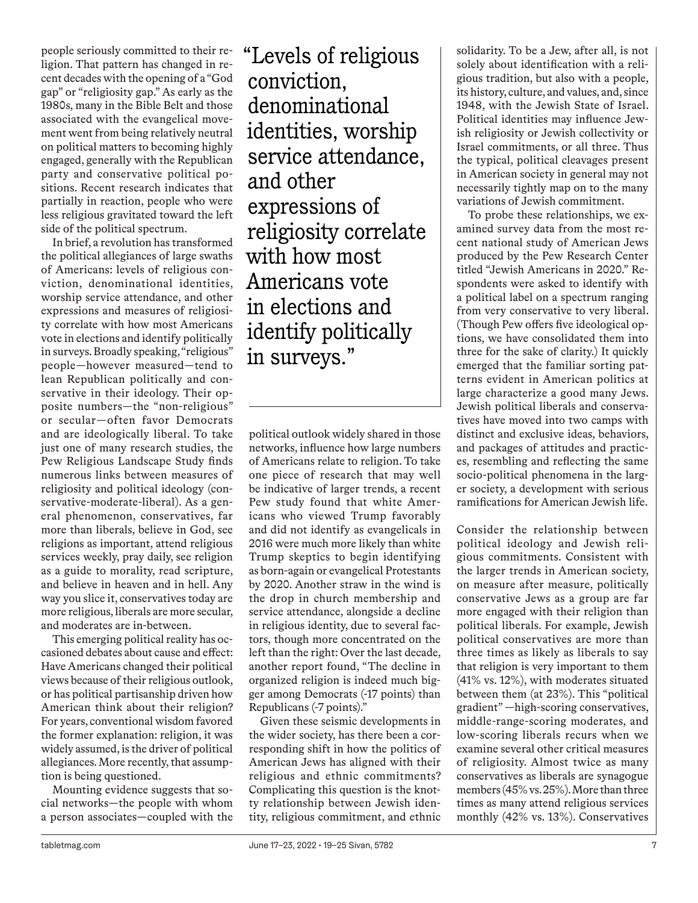people seriously committed to their religion. That pattern has changed in recent decades with the opening of a "God gap" or "religiosity gap." As early as the 1980s, many in the Bible Belt and those associated with the evangelical movement went from being relatively neutral on political matters to becoming highly engaged, generally with the Republican party and conservative political positions. Recent research indicates that partially in reaction, people who were less religious gravitated toward the left side of the political spectrum.

In brief, a revolution has transformed the political allegiances of large swaths of Americans: levels of religious conviction, denominational identities, worship service attendance, and other expressions and measures of religiosity correlate with how most Americans vote in elections and identify politically in surveys. Broadly speaking, "religious" people—however measured—tend to lean Republican politically and conservative in their ideology. Their opposite numbers—the "non-religious" or secular—often favor Democrats and are ideologically liberal. To take just one of many research studies, the Pew Religious Landscape Study finds numerous links between measures of religiosity and political ideology (conservative-moderate-liberal). As a general phenomenon, conservatives, far more than liberals, believe in God, see religions as important, attend religious services weekly, pray daily, see religion as a guide to morality, read scripture, and believe in heaven and in hell. Any way you slice it, conservatives today are more religious, liberals are more secular, and moderates are in-between.

This emerging political reality has occasioned debates about cause and effect: Have Americans changed their political views because of their religious outlook, or has political partisanship driven how American think about their religion? For years, conventional wisdom favored the former explanation: religion, it was widely assumed, is the driver of political allegiances. More recently, that assumption is being questioned.

Mounting evidence suggests that social networks—the people with whom a person associates—coupled with the "Levels of religious conviction, denominational identities, worship service attendance, and other expressions of religiosity correlate with how most Americans vote in elections and identify politically in surveys."

political outlook widely shared in those networks, influence how large numbers of Americans relate to religion. To take one piece of research that may well be indicative of larger trends, a recent Pew study found that white Americans who viewed Trump favorably and did not identify as evangelicals in 2016 were much more likely than white Trump skeptics to begin identifying as born-again or evangelical Protestants by 2020. Another straw in the wind is the drop in church membership and service attendance, alongside a decline in religious identity, due to several factors, though more concentrated on the left than the right: Over the last decade, another report found, "The decline in organized religion is indeed much bigger among Democrats (-17 points) than Republicans (-7 points)."

Given these seismic developments in the wider society, has there been a corresponding shift in how the politics of American Jews has aligned with their religious and ethnic commitments? Complicating this question is the knotty relationship between Jewish identity, religious commitment, and ethnic solidarity. To be a Jew, after all, is not solely about identification with a religious tradition, but also with a people, its history, culture, and values, and, since 1948, with the Jewish State of Israel. Political identities may influence Jewish religiosity or Jewish collectivity or Israel commitments, or all three. Thus the typical, political cleavages present in American society in general may not necessarily tightly map on to the many variations of Jewish commitment.

To probe these relationships, we examined survey data from the most recent national study of American Jews produced by the Pew Research Center titled "Jewish Americans in 2020." Respondents were asked to identify with a political label on a spectrum ranging from very conservative to very liberal. (Though Pew offers five ideological options, we have consolidated them into three for the sake of clarity.) It quickly emerged that the familiar sorting patterns evident in American politics at large characterize a good many Jews. Jewish political liberals and conservatives have moved into two camps with distinct and exclusive ideas, behaviors, and packages of attitudes and practices, resembling and reflecting the same socio-political phenomena in the larger society, a development with serious ramifications for American Jewish life.

Consider the relationship between political ideology and Jewish religious commitments. Consistent with the larger trends in American society, on measure after measure, politically conservative Jews as a group are far more engaged with their religion than political liberals. For example, Jewish political conservatives are more than three times as likely as liberals to say that religion is very important to them (41% vs. 12%), with moderates situated between them (at 23%). This "political gradient" —high-scoring conservatives, middle-range-scoring moderates, and low-scoring liberals recurs when we examine several other critical measures of religiosity. Almost twice as many conservatives as liberals are synagogue members (45% vs. 25%). More than three times as many attend religious services monthly (42% vs. 13%). Conservatives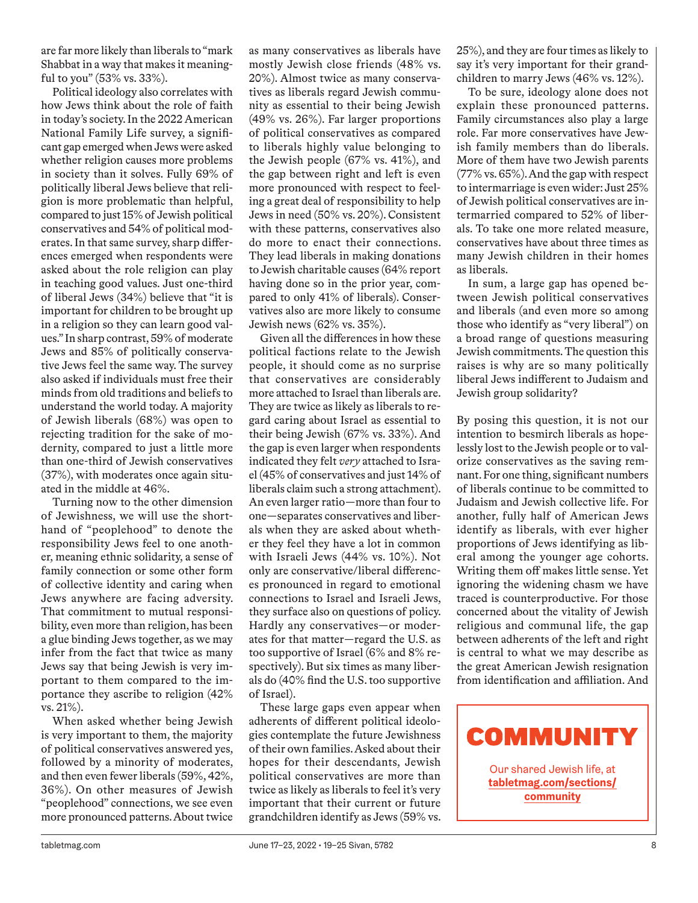are far more likely than liberals to "mark Shabbat in a way that makes it meaningful to you" (53% vs. 33%).

Political ideology also correlates with how Jews think about the role of faith in today's society. In the 2022 American National Family Life survey, a significant gap emerged when Jews were asked whether religion causes more problems in society than it solves. Fully 69% of politically liberal Jews believe that religion is more problematic than helpful, compared to just 15% of Jewish political conservatives and 54% of political moderates. In that same survey, sharp differences emerged when respondents were asked about the role religion can play in teaching good values. Just one-third of liberal Jews (34%) believe that "it is important for children to be brought up in a religion so they can learn good values." In sharp contrast, 59% of moderate Jews and 85% of politically conservative Jews feel the same way. The survey also asked if individuals must free their minds from old traditions and beliefs to understand the world today. A majority of Jewish liberals (68%) was open to rejecting tradition for the sake of modernity, compared to just a little more than one-third of Jewish conservatives (37%), with moderates once again situated in the middle at 46%.

Turning now to the other dimension of Jewishness, we will use the shorthand of "peoplehood" to denote the responsibility Jews feel to one another, meaning ethnic solidarity, a sense of family connection or some other form of collective identity and caring when Jews anywhere are facing adversity. That commitment to mutual responsibility, even more than religion, has been a glue binding Jews together, as we may infer from the fact that twice as many Jews say that being Jewish is very important to them compared to the importance they ascribe to religion (42% vs. 21%).

When asked whether being Jewish is very important to them, the majority of political conservatives answered yes, followed by a minority of moderates, and then even fewer liberals (59%, 42%, 36%). On other measures of Jewish "peoplehood" connections, we see even more pronounced patterns. About twice as many conservatives as liberals have mostly Jewish close friends (48% vs. 20%). Almost twice as many conservatives as liberals regard Jewish community as essential to their being Jewish (49% vs. 26%). Far larger proportions of political conservatives as compared to liberals highly value belonging to the Jewish people (67% vs. 41%), and the gap between right and left is even more pronounced with respect to feeling a great deal of responsibility to help Jews in need (50% vs. 20%). Consistent with these patterns, conservatives also do more to enact their connections. They lead liberals in making donations to Jewish charitable causes (64% report having done so in the prior year, compared to only 41% of liberals). Conservatives also are more likely to consume Jewish news (62% vs. 35%).

Given all the differences in how these political factions relate to the Jewish people, it should come as no surprise that conservatives are considerably more attached to Israel than liberals are. They are twice as likely as liberals to regard caring about Israel as essential to their being Jewish (67% vs. 33%). And the gap is even larger when respondents indicated they felt *very* attached to Israel (45% of conservatives and just 14% of liberals claim such a strong attachment). An even larger ratio—more than four to one—separates conservatives and liberals when they are asked about whether they feel they have a lot in common with Israeli Jews (44% vs. 10%). Not only are conservative/liberal differences pronounced in regard to emotional connections to Israel and Israeli Jews, they surface also on questions of policy. Hardly any conservatives—or moderates for that matter—regard the U.S. as too supportive of Israel (6% and 8% respectively). But six times as many liberals do (40% find the U.S. too supportive of Israel).

These large gaps even appear when adherents of different political ideologies contemplate the future Jewishness of their own families. Asked about their hopes for their descendants, Jewish political conservatives are more than twice as likely as liberals to feel it's very important that their current or future grandchildren identify as Jews (59% vs.

25%), and they are four times as likely to say it's very important for their grandchildren to marry Jews (46% vs. 12%).

To be sure, ideology alone does not explain these pronounced patterns. Family circumstances also play a large role. Far more conservatives have Jewish family members than do liberals. More of them have two Jewish parents (77% vs. 65%). And the gap with respect to intermarriage is even wider: Just 25% of Jewish political conservatives are intermarried compared to 52% of liberals. To take one more related measure, conservatives have about three times as many Jewish children in their homes as liberals.

In sum, a large gap has opened between Jewish political conservatives and liberals (and even more so among those who identify as "very liberal") on a broad range of questions measuring Jewish commitments. The question this raises is why are so many politically liberal Jews indifferent to Judaism and Jewish group solidarity?

By posing this question, it is not our intention to besmirch liberals as hopelessly lost to the Jewish people or to valorize conservatives as the saving remnant. For one thing, significant numbers of liberals continue to be committed to Judaism and Jewish collective life. For another, fully half of American Jews identify as liberals, with ever higher proportions of Jews identifying as liberal among the younger age cohorts. Writing them off makes little sense. Yet ignoring the widening chasm we have traced is counterproductive. For those concerned about the vitality of Jewish religious and communal life, the gap between adherents of the left and right is central to what we may describe as the great American Jewish resignation from identification and affiliation. And



Our shared Jewish life, at **tabletmag.com/sections/ community**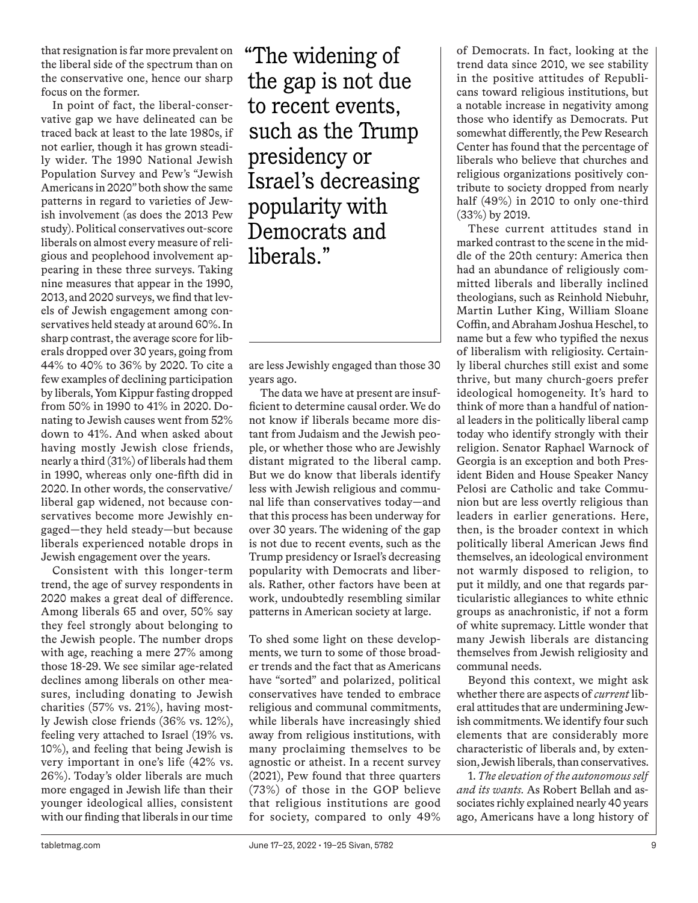that resignation is far more prevalent on the liberal side of the spectrum than on the conservative one, hence our sharp focus on the former.

In point of fact, the liberal-conservative gap we have delineated can be traced back at least to the late 1980s, if not earlier, though it has grown steadily wider. The 1990 National Jewish Population Survey and Pew's "Jewish Americans in 2020" both show the same patterns in regard to varieties of Jewish involvement (as does the 2013 Pew study). Political conservatives out-score liberals on almost every measure of religious and peoplehood involvement appearing in these three surveys. Taking nine measures that appear in the 1990, 2013, and 2020 surveys, we find that levels of Jewish engagement among conservatives held steady at around 60%. In sharp contrast, the average score for liberals dropped over 30 years, going from 44% to 40% to 36% by 2020. To cite a few examples of declining participation by liberals, Yom Kippur fasting dropped from 50% in 1990 to 41% in 2020. Donating to Jewish causes went from 52% down to 41%. And when asked about having mostly Jewish close friends, nearly a third (31%) of liberals had them in 1990, whereas only one-fifth did in 2020. In other words, the conservative/ liberal gap widened, not because conservatives become more Jewishly engaged—they held steady—but because liberals experienced notable drops in Jewish engagement over the years.

Consistent with this longer-term trend, the age of survey respondents in 2020 makes a great deal of difference. Among liberals 65 and over, 50% say they feel strongly about belonging to the Jewish people. The number drops with age, reaching a mere 27% among those 18-29. We see similar age-related declines among liberals on other measures, including donating to Jewish charities (57% vs. 21%), having mostly Jewish close friends (36% vs. 12%), feeling very attached to Israel (19% vs. 10%), and feeling that being Jewish is very important in one's life (42% vs. 26%). Today's older liberals are much more engaged in Jewish life than their younger ideological allies, consistent with our finding that liberals in our time

"The widening of the gap is not due to recent events, such as the Trump presidency or Israel's decreasing popularity with Democrats and liberals."

are less Jewishly engaged than those 30 years ago.

The data we have at present are insufficient to determine causal order. We do not know if liberals became more distant from Judaism and the Jewish people, or whether those who are Jewishly distant migrated to the liberal camp. But we do know that liberals identify less with Jewish religious and communal life than conservatives today—and that this process has been underway for over 30 years. The widening of the gap is not due to recent events, such as the Trump presidency or Israel's decreasing popularity with Democrats and liberals. Rather, other factors have been at work, undoubtedly resembling similar patterns in American society at large.

To shed some light on these developments, we turn to some of those broader trends and the fact that as Americans have "sorted" and polarized, political conservatives have tended to embrace religious and communal commitments, while liberals have increasingly shied away from religious institutions, with many proclaiming themselves to be agnostic or atheist. In a recent survey (2021), Pew found that three quarters (73%) of those in the GOP believe that religious institutions are good for society, compared to only 49% of Democrats. In fact, looking at the trend data since 2010, we see stability in the positive attitudes of Republicans toward religious institutions, but a notable increase in negativity among those who identify as Democrats. Put somewhat differently, the Pew Research Center has found that the percentage of liberals who believe that churches and religious organizations positively contribute to society dropped from nearly half (49%) in 2010 to only one-third (33%) by 2019.

These current attitudes stand in marked contrast to the scene in the middle of the 20th century: America then had an abundance of religiously committed liberals and liberally inclined theologians, such as Reinhold Niebuhr, Martin Luther King, William Sloane Coffin, and Abraham Joshua Heschel, to name but a few who typified the nexus of liberalism with religiosity. Certainly liberal churches still exist and some thrive, but many church-goers prefer ideological homogeneity. It's hard to think of more than a handful of national leaders in the politically liberal camp today who identify strongly with their religion. Senator Raphael Warnock of Georgia is an exception and both President Biden and House Speaker Nancy Pelosi are Catholic and take Communion but are less overtly religious than leaders in earlier generations. Here, then, is the broader context in which politically liberal American Jews find themselves, an ideological environment not warmly disposed to religion, to put it mildly, and one that regards particularistic allegiances to white ethnic groups as anachronistic, if not a form of white supremacy. Little wonder that many Jewish liberals are distancing themselves from Jewish religiosity and communal needs.

Beyond this context, we might ask whether there are aspects of *current* liberal attitudes that are undermining Jewish commitments. We identify four such elements that are considerably more characteristic of liberals and, by extension, Jewish liberals, than conservatives.

1. *The elevation of the autonomous self and its wants.* As Robert Bellah and associates richly explained nearly 40 years ago, Americans have a long history of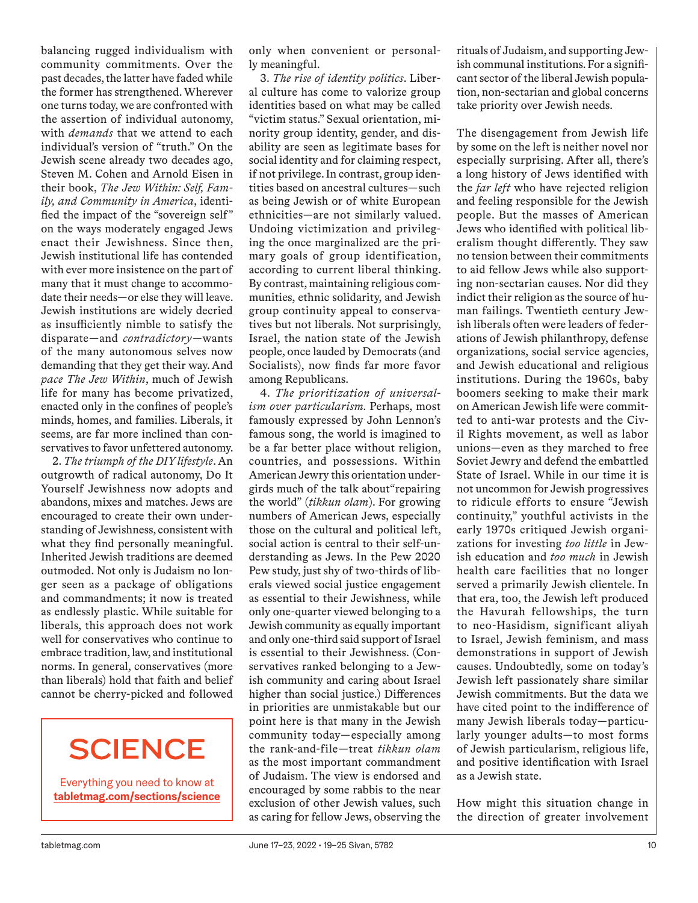balancing rugged individualism with community commitments. Over the past decades, the latter have faded while the former has strengthened. Wherever one turns today, we are confronted with the assertion of individual autonomy, with *demands* that we attend to each individual's version of "truth." On the Jewish scene already two decades ago, Steven M. Cohen and Arnold Eisen in their book, *The Jew Within: Self, Family, and Community in America*, identified the impact of the "sovereign self" on the ways moderately engaged Jews enact their Jewishness. Since then, Jewish institutional life has contended with ever more insistence on the part of many that it must change to accommodate their needs—or else they will leave. Jewish institutions are widely decried as insufficiently nimble to satisfy the disparate—and *contradictory—*wants of the many autonomous selves now demanding that they get their way. And *pace The Jew Within*, much of Jewish life for many has become privatized, enacted only in the confines of people's minds, homes, and families. Liberals, it seems, are far more inclined than conservatives to favor unfettered autonomy.

2. *The triumph of the DIY lifestyle*. An outgrowth of radical autonomy, Do It Yourself Jewishness now adopts and abandons, mixes and matches. Jews are encouraged to create their own understanding of Jewishness, consistent with what they find personally meaningful. Inherited Jewish traditions are deemed outmoded. Not only is Judaism no longer seen as a package of obligations and commandments; it now is treated as endlessly plastic. While suitable for liberals, this approach does not work well for conservatives who continue to embrace tradition, law, and institutional norms. In general, conservatives (more than liberals) hold that faith and belief cannot be cherry-picked and followed

# **SCIENCE**

Everything you need to know at **tabletmag.com/sections/science** only when convenient or personally meaningful.

3. *The rise of identity politics*. Liberal culture has come to valorize group identities based on what may be called "victim status." Sexual orientation, minority group identity, gender, and disability are seen as legitimate bases for social identity and for claiming respect, if not privilege. In contrast, group identities based on ancestral cultures—such as being Jewish or of white European ethnicities—are not similarly valued. Undoing victimization and privileging the once marginalized are the primary goals of group identification, according to current liberal thinking. By contrast, maintaining religious communities, ethnic solidarity, and Jewish group continuity appeal to conservatives but not liberals. Not surprisingly, Israel, the nation state of the Jewish people, once lauded by Democrats (and Socialists), now finds far more favor among Republicans.

4. *The prioritization of universalism over particularism.* Perhaps, most famously expressed by John Lennon's famous song, the world is imagined to be a far better place without religion, countries, and possessions. Within American Jewry this orientation undergirds much of the talk about"repairing the world" (*tikkun olam*). For growing numbers of American Jews, especially those on the cultural and political left, social action is central to their self-understanding as Jews. In the Pew 2020 Pew study, just shy of two-thirds of liberals viewed social justice engagement as essential to their Jewishness, while only one-quarter viewed belonging to a Jewish community as equally important and only one-third said support of Israel is essential to their Jewishness. (Conservatives ranked belonging to a Jewish community and caring about Israel higher than social justice.) Differences in priorities are unmistakable but our point here is that many in the Jewish community today—especially among the rank-and-file—treat *tikkun olam* as the most important commandment of Judaism. The view is endorsed and encouraged by some rabbis to the near exclusion of other Jewish values, such as caring for fellow Jews, observing the rituals of Judaism, and supporting Jewish communal institutions. For a significant sector of the liberal Jewish population, non-sectarian and global concerns take priority over Jewish needs.

The disengagement from Jewish life by some on the left is neither novel nor especially surprising. After all, there's a long history of Jews identified with the *far left* who have rejected religion and feeling responsible for the Jewish people. But the masses of American Jews who identified with political liberalism thought differently. They saw no tension between their commitments to aid fellow Jews while also supporting non-sectarian causes. Nor did they indict their religion as the source of human failings. Twentieth century Jewish liberals often were leaders of federations of Jewish philanthropy, defense organizations, social service agencies, and Jewish educational and religious institutions. During the 1960s, baby boomers seeking to make their mark on American Jewish life were committed to anti-war protests and the Civil Rights movement, as well as labor unions—even as they marched to free Soviet Jewry and defend the embattled State of Israel. While in our time it is not uncommon for Jewish progressives to ridicule efforts to ensure "Jewish continuity," youthful activists in the early 1970s critiqued Jewish organizations for investing *too little* in Jewish education and *too much* in Jewish health care facilities that no longer served a primarily Jewish clientele. In that era, too, the Jewish left produced the Havurah fellowships, the turn to neo-Hasidism, significant aliyah to Israel, Jewish feminism, and mass demonstrations in support of Jewish causes. Undoubtedly, some on today's Jewish left passionately share similar Jewish commitments. But the data we have cited point to the indifference of many Jewish liberals today—particularly younger adults—to most forms of Jewish particularism, religious life, and positive identification with Israel as a Jewish state.

How might this situation change in the direction of greater involvement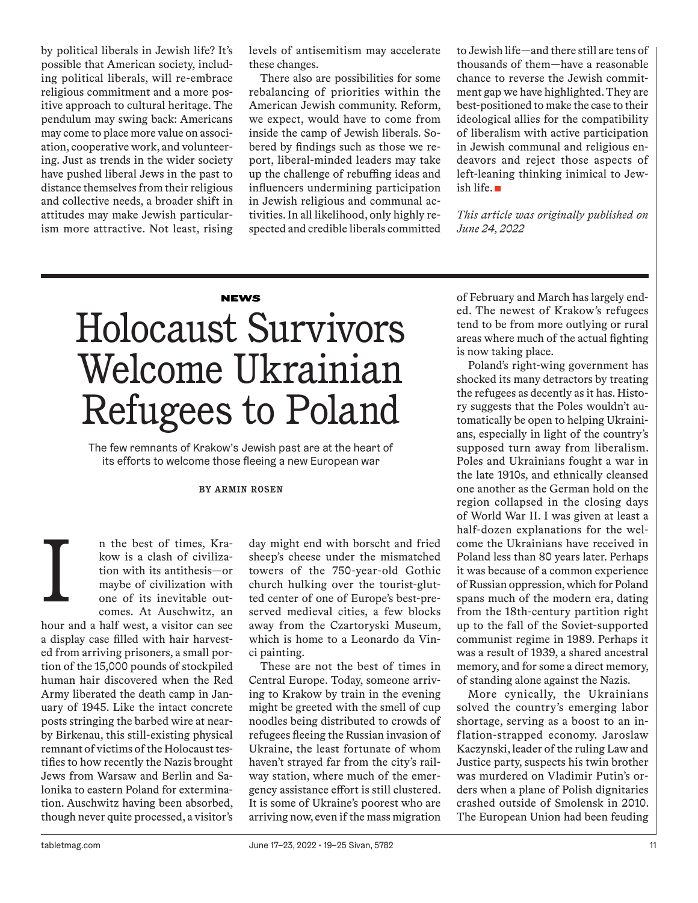by political liberals in Jewish life? It's possible that American society, including political liberals, will re-embrace religious commitment and a more positive approach to cultural heritage. The pendulum may swing back: Americans may come to place more value on association, cooperative work, and volunteering. Just as trends in the wider society have pushed liberal Jews in the past to distance themselves from their religious and collective needs, a broader shift in attitudes may make Jewish particularism more attractive. Not least, rising levels of antisemitism may accelerate these changes.

There also are possibilities for some rebalancing of priorities within the American Jewish community. Reform, we expect, would have to come from inside the camp of Jewish liberals. Sobered by findings such as those we report, liberal-minded leaders may take up the challenge of rebuffing ideas and influencers undermining participation in Jewish religious and communal activities. In all likelihood, only highly respected and credible liberals committed to Jewish life—and there still are tens of thousands of them—have a reasonable chance to reverse the Jewish commitment gap we have highlighted. They are best-positioned to make the case to their ideological allies for the compatibility of liberalism with active participation in Jewish communal and religious endeavors and reject those aspects of left-leaning thinking inimical to Jewish life.

*This article was originally published on June 24, 2022*

# **NEWS**

# Holocaust Survivors Welcome Ukrainian Refugees to Poland

The few remnants of Krakow's Jewish past are at the heart of its efforts to welcome those fleeing a new European war

# **BY ARMIN ROSEN**

n the best of times, Krakow is a clash of civilization with its antithesis—or maybe of civilization with one of its inevitable outcomes. At Auschwitz, an

hour and a half west, a visitor can see a display case filled with hair harvested from arriving prisoners, a small portion of the 15,000 pounds of stockpiled human hair discovered when the Red Army liberated the death camp in January of 1945. Like the intact concrete posts stringing the barbed wire at nearby Birkenau, this still-existing physical remnant of victims of the Holocaust testifies to how recently the Nazis brought Jews from Warsaw and Berlin and Salonika to eastern Poland for extermination. Auschwitz having been absorbed, though never quite processed, a visitor's I

day might end with borscht and fried sheep's cheese under the mismatched towers of the 750-year-old Gothic church hulking over the tourist-glutted center of one of Europe's best-preserved medieval cities, a few blocks away from the Czartoryski Museum, which is home to a Leonardo da Vinci painting.

These are not the best of times in Central Europe. Today, someone arriving to Krakow by train in the evening might be greeted with the smell of cup noodles being distributed to crowds of refugees fleeing the Russian invasion of Ukraine, the least fortunate of whom haven't strayed far from the city's railway station, where much of the emergency assistance effort is still clustered. It is some of Ukraine's poorest who are arriving now, even if the mass migration of February and March has largely ended. The newest of Krakow's refugees tend to be from more outlying or rural areas where much of the actual fighting is now taking place.

Poland's right-wing government has shocked its many detractors by treating the refugees as decently as it has. History suggests that the Poles wouldn't automatically be open to helping Ukrainians, especially in light of the country's supposed turn away from liberalism. Poles and Ukrainians fought a war in the late 1910s, and ethnically cleansed one another as the German hold on the region collapsed in the closing days of World War II. I was given at least a half-dozen explanations for the welcome the Ukrainians have received in Poland less than 80 years later. Perhaps it was because of a common experience of Russian oppression, which for Poland spans much of the modern era, dating from the 18th-century partition right up to the fall of the Soviet-supported communist regime in 1989. Perhaps it was a result of 1939, a shared ancestral memory, and for some a direct memory, of standing alone against the Nazis.

More cynically, the Ukrainians solved the country's emerging labor shortage, serving as a boost to an inflation-strapped economy. Jaroslaw Kaczynski, leader of the ruling Law and Justice party, suspects his twin brother was murdered on Vladimir Putin's orders when a plane of Polish dignitaries crashed outside of Smolensk in 2010. The European Union had been feuding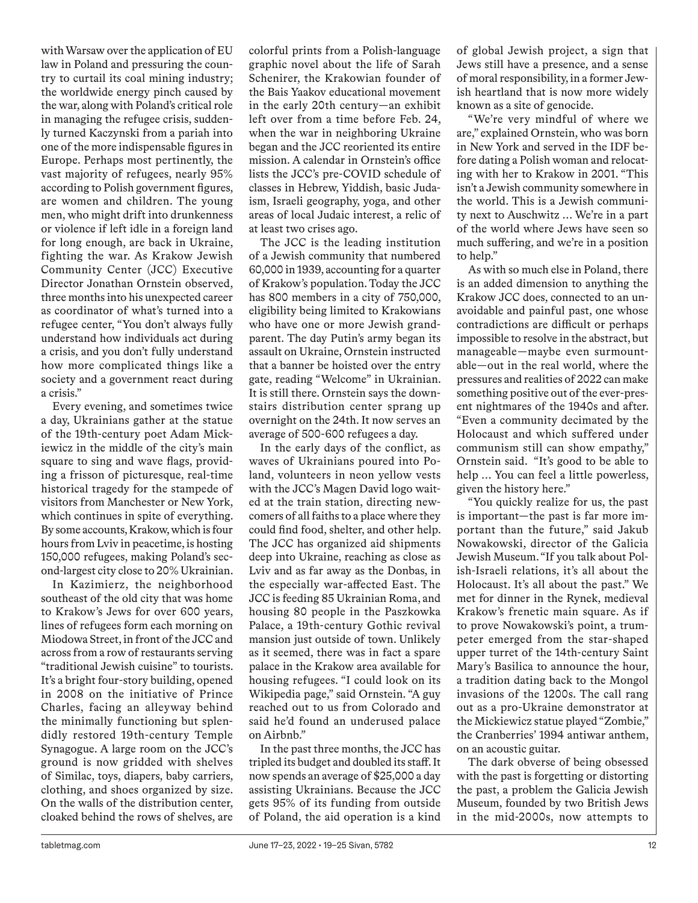with Warsaw over the application of EU law in Poland and pressuring the country to curtail its coal mining industry; the worldwide energy pinch caused by the war, along with Poland's critical role in managing the refugee crisis, suddenly turned Kaczynski from a pariah into one of the more indispensable figures in Europe. Perhaps most pertinently, the vast majority of refugees, nearly 95% according to Polish government figures, are women and children. The young men, who might drift into drunkenness or violence if left idle in a foreign land for long enough, are back in Ukraine, fighting the war. As Krakow Jewish Community Center (JCC) Executive Director Jonathan Ornstein observed, three months into his unexpected career as coordinator of what's turned into a refugee center, "You don't always fully understand how individuals act during a crisis, and you don't fully understand how more complicated things like a society and a government react during a crisis."

Every evening, and sometimes twice a day, Ukrainians gather at the statue of the 19th-century poet Adam Mickiewicz in the middle of the city's main square to sing and wave flags, providing a frisson of picturesque, real-time historical tragedy for the stampede of visitors from Manchester or New York, which continues in spite of everything. By some accounts, Krakow, which is four hours from Lviv in peacetime, is hosting 150,000 refugees, making Poland's second-largest city close to 20% Ukrainian.

In Kazimierz, the neighborhood southeast of the old city that was home to Krakow's Jews for over 600 years, lines of refugees form each morning on Miodowa Street, in front of the JCC and across from a row of restaurants serving "traditional Jewish cuisine" to tourists. It's a bright four-story building, opened in 2008 on the initiative of Prince Charles, facing an alleyway behind the minimally functioning but splendidly restored 19th-century Temple Synagogue. A large room on the JCC's ground is now gridded with shelves of Similac, toys, diapers, baby carriers, clothing, and shoes organized by size. On the walls of the distribution center, cloaked behind the rows of shelves, are colorful prints from a Polish-language graphic novel about the life of Sarah Schenirer, the Krakowian founder of the Bais Yaakov educational movement in the early 20th century—an exhibit left over from a time before Feb. 24, when the war in neighboring Ukraine began and the JCC reoriented its entire mission. A calendar in Ornstein's office lists the JCC's pre-COVID schedule of classes in Hebrew, Yiddish, basic Judaism, Israeli geography, yoga, and other areas of local Judaic interest, a relic of at least two crises ago.

The JCC is the leading institution of a Jewish community that numbered 60,000 in 1939, accounting for a quarter of Krakow's population. Today the JCC has 800 members in a city of 750,000, eligibility being limited to Krakowians who have one or more Jewish grandparent. The day Putin's army began its assault on Ukraine, Ornstein instructed that a banner be hoisted over the entry gate, reading "Welcome" in Ukrainian. It is still there. Ornstein says the downstairs distribution center sprang up overnight on the 24th. It now serves an average of 500-600 refugees a day.

In the early days of the conflict, as waves of Ukrainians poured into Poland, volunteers in neon yellow vests with the JCC's Magen David logo waited at the train station, directing newcomers of all faiths to a place where they could find food, shelter, and other help. The JCC has organized aid shipments deep into Ukraine, reaching as close as Lviv and as far away as the Donbas, in the especially war-affected East. The JCC is feeding 85 Ukrainian Roma, and housing 80 people in the Paszkowka Palace, a 19th-century Gothic revival mansion just outside of town. Unlikely as it seemed, there was in fact a spare palace in the Krakow area available for housing refugees. "I could look on its Wikipedia page," said Ornstein. "A guy reached out to us from Colorado and said he'd found an underused palace on Airbnb."

In the past three months, the JCC has tripled its budget and doubled its staff. It now spends an average of \$25,000 a day assisting Ukrainians. Because the JCC gets 95% of its funding from outside of Poland, the aid operation is a kind of global Jewish project, a sign that Jews still have a presence, and a sense of moral responsibility, in a former Jewish heartland that is now more widely known as a site of genocide.

"We're very mindful of where we are," explained Ornstein, who was born in New York and served in the IDF before dating a Polish woman and relocating with her to Krakow in 2001. "This isn't a Jewish community somewhere in the world. This is a Jewish community next to Auschwitz … We're in a part of the world where Jews have seen so much suffering, and we're in a position to help."

As with so much else in Poland, there is an added dimension to anything the Krakow JCC does, connected to an unavoidable and painful past, one whose contradictions are difficult or perhaps impossible to resolve in the abstract, but manageable—maybe even surmountable—out in the real world, where the pressures and realities of 2022 can make something positive out of the ever-present nightmares of the 1940s and after. "Even a community decimated by the Holocaust and which suffered under communism still can show empathy," Ornstein said. "It's good to be able to help … You can feel a little powerless, given the history here."

"You quickly realize for us, the past is important—the past is far more important than the future," said Jakub Nowakowski, director of the Galicia Jewish Museum. "If you talk about Polish-Israeli relations, it's all about the Holocaust. It's all about the past." We met for dinner in the Rynek, medieval Krakow's frenetic main square. As if to prove Nowakowski's point, a trumpeter emerged from the star-shaped upper turret of the 14th-century Saint Mary's Basilica to announce the hour, a tradition dating back to the Mongol invasions of the 1200s. The call rang out as a pro-Ukraine demonstrator at the Mickiewicz statue played "Zombie," the Cranberries' 1994 antiwar anthem, on an acoustic guitar.

The dark obverse of being obsessed with the past is forgetting or distorting the past, a problem the Galicia Jewish Museum, founded by two British Jews in the mid-2000s, now attempts to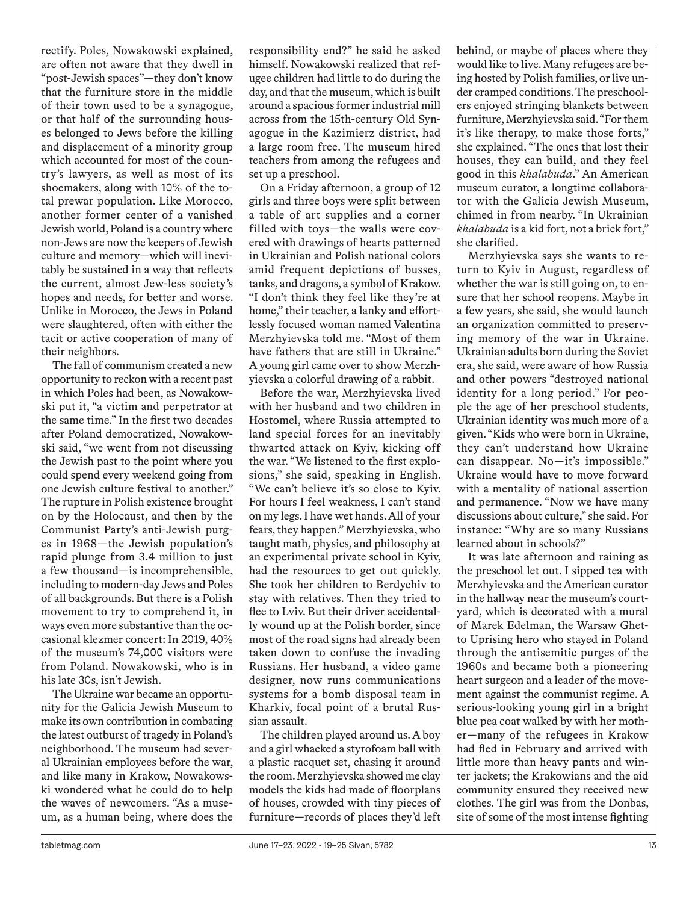rectify. Poles, Nowakowski explained, are often not aware that they dwell in "post-Jewish spaces"—they don't know that the furniture store in the middle of their town used to be a synagogue, or that half of the surrounding houses belonged to Jews before the killing and displacement of a minority group which accounted for most of the country's lawyers, as well as most of its shoemakers, along with 10% of the total prewar population. Like Morocco, another former center of a vanished Jewish world, Poland is a country where non-Jews are now the keepers of Jewish culture and memory—which will inevitably be sustained in a way that reflects the current, almost Jew-less society's hopes and needs, for better and worse. Unlike in Morocco, the Jews in Poland were slaughtered, often with either the tacit or active cooperation of many of their neighbors.

The fall of communism created a new opportunity to reckon with a recent past in which Poles had been, as Nowakowski put it, "a victim and perpetrator at the same time." In the first two decades after Poland democratized, Nowakowski said, "we went from not discussing the Jewish past to the point where you could spend every weekend going from one Jewish culture festival to another." The rupture in Polish existence brought on by the Holocaust, and then by the Communist Party's anti-Jewish purges in 1968—the Jewish population's rapid plunge from 3.4 million to just a few thousand—is incomprehensible, including to modern-day Jews and Poles of all backgrounds. But there is a Polish movement to try to comprehend it, in ways even more substantive than the occasional klezmer concert: In 2019, 40% of the museum's 74,000 visitors were from Poland. Nowakowski, who is in his late 30s, isn't Jewish.

The Ukraine war became an opportunity for the Galicia Jewish Museum to make its own contribution in combating the latest outburst of tragedy in Poland's neighborhood. The museum had several Ukrainian employees before the war, and like many in Krakow, Nowakowski wondered what he could do to help the waves of newcomers. "As a museum, as a human being, where does the responsibility end?" he said he asked himself. Nowakowski realized that refugee children had little to do during the day, and that the museum, which is built around a spacious former industrial mill across from the 15th-century Old Synagogue in the Kazimierz district, had a large room free. The museum hired teachers from among the refugees and set up a preschool.

On a Friday afternoon, a group of 12 girls and three boys were split between a table of art supplies and a corner filled with toys—the walls were covered with drawings of hearts patterned in Ukrainian and Polish national colors amid frequent depictions of busses, tanks, and dragons, a symbol of Krakow. "I don't think they feel like they're at home," their teacher, a lanky and effortlessly focused woman named Valentina Merzhyievska told me. "Most of them have fathers that are still in Ukraine." A young girl came over to show Merzhyievska a colorful drawing of a rabbit.

Before the war, Merzhyievska lived with her husband and two children in Hostomel, where Russia attempted to land special forces for an inevitably thwarted attack on Kyiv, kicking off the war. "We listened to the first explosions," she said, speaking in English. "We can't believe it's so close to Kyiv. For hours I feel weakness, I can't stand on my legs. I have wet hands. All of your fears, they happen." Merzhyievska, who taught math, physics, and philosophy at an experimental private school in Kyiv, had the resources to get out quickly. She took her children to Berdychiv to stay with relatives. Then they tried to flee to Lviv. But their driver accidentally wound up at the Polish border, since most of the road signs had already been taken down to confuse the invading Russians. Her husband, a video game designer, now runs communications systems for a bomb disposal team in Kharkiv, focal point of a brutal Russian assault.

The children played around us. A boy and a girl whacked a styrofoam ball with a plastic racquet set, chasing it around the room. Merzhyievska showed me clay models the kids had made of floorplans of houses, crowded with tiny pieces of furniture—records of places they'd left behind, or maybe of places where they would like to live. Many refugees are being hosted by Polish families, or live under cramped conditions. The preschoolers enjoyed stringing blankets between furniture, Merzhyievska said. "For them it's like therapy, to make those forts," she explained. "The ones that lost their houses, they can build, and they feel good in this *khalabuda*." An American museum curator, a longtime collaborator with the Galicia Jewish Museum, chimed in from nearby. "In Ukrainian *khalabuda* is a kid fort, not a brick fort," she clarified.

Merzhyievska says she wants to return to Kyiv in August, regardless of whether the war is still going on, to ensure that her school reopens. Maybe in a few years, she said, she would launch an organization committed to preserving memory of the war in Ukraine. Ukrainian adults born during the Soviet era, she said, were aware of how Russia and other powers "destroyed national identity for a long period." For people the age of her preschool students, Ukrainian identity was much more of a given. "Kids who were born in Ukraine, they can't understand how Ukraine can disappear. No—it's impossible." Ukraine would have to move forward with a mentality of national assertion and permanence. "Now we have many discussions about culture," she said. For instance: "Why are so many Russians learned about in schools?"

It was late afternoon and raining as the preschool let out. I sipped tea with Merzhyievska and the American curator in the hallway near the museum's courtyard, which is decorated with a mural of Marek Edelman, the Warsaw Ghetto Uprising hero who stayed in Poland through the antisemitic purges of the 1960s and became both a pioneering heart surgeon and a leader of the movement against the communist regime. A serious-looking young girl in a bright blue pea coat walked by with her mother—many of the refugees in Krakow had fled in February and arrived with little more than heavy pants and winter jackets; the Krakowians and the aid community ensured they received new clothes. The girl was from the Donbas, site of some of the most intense fighting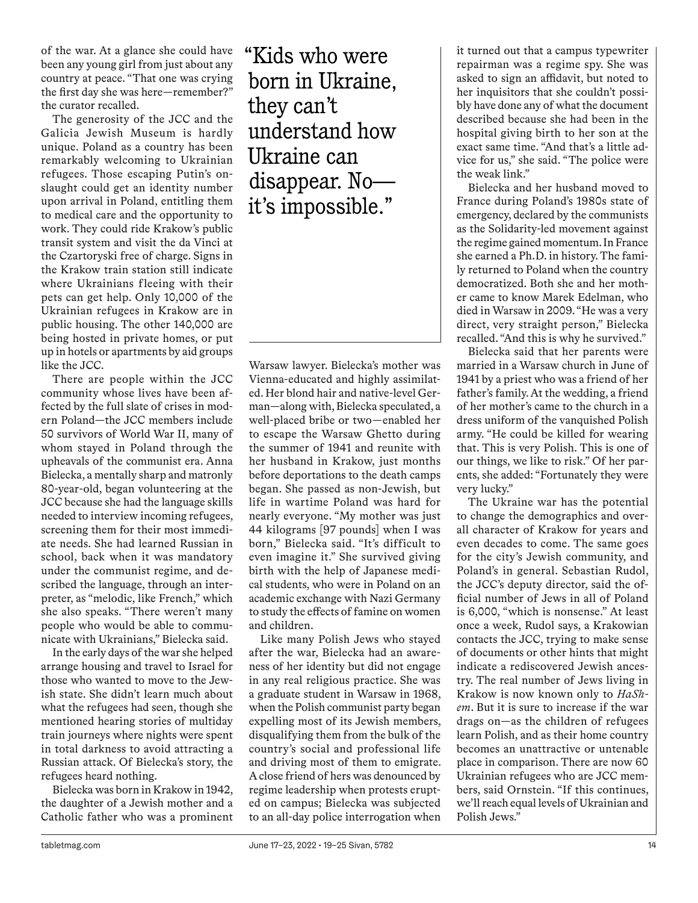of the war. At a glance she could have been any young girl from just about any country at peace. "That one was crying the first day she was here—remember?" the curator recalled.

The generosity of the JCC and the Galicia Jewish Museum is hardly unique. Poland as a country has been remarkably welcoming to Ukrainian refugees. Those escaping Putin's onslaught could get an identity number upon arrival in Poland, entitling them to medical care and the opportunity to work. They could ride Krakow's public transit system and visit the da Vinci at the Czartoryski free of charge. Signs in the Krakow train station still indicate where Ukrainians fleeing with their pets can get help. Only 10,000 of the Ukrainian refugees in Krakow are in public housing. The other 140,000 are being hosted in private homes, or put up in hotels or apartments by aid groups like the JCC.

There are people within the JCC community whose lives have been affected by the full slate of crises in modern Poland—the JCC members include 50 survivors of World War II, many of whom stayed in Poland through the upheavals of the communist era. Anna Bielecka, a mentally sharp and matronly 80-year-old, began volunteering at the JCC because she had the language skills needed to interview incoming refugees, screening them for their most immediate needs. She had learned Russian in school, back when it was mandatory under the communist regime, and described the language, through an interpreter, as "melodic, like French," which she also speaks. "There weren't many people who would be able to communicate with Ukrainians," Bielecka said.

In the early days of the war she helped arrange housing and travel to Israel for those who wanted to move to the Jewish state. She didn't learn much about what the refugees had seen, though she mentioned hearing stories of multiday train journeys where nights were spent in total darkness to avoid attracting a Russian attack. Of Bielecka's story, the refugees heard nothing.

Bielecka was born in Krakow in 1942, the daughter of a Jewish mother and a Catholic father who was a prominent "Kids who were born in Ukraine, they can't understand how Ukraine can disappear. No it's impossible."

Warsaw lawyer. Bielecka's mother was Vienna-educated and highly assimilated. Her blond hair and native-level German—along with, Bielecka speculated, a well-placed bribe or two—enabled her to escape the Warsaw Ghetto during the summer of 1941 and reunite with her husband in Krakow, just months before deportations to the death camps began. She passed as non-Jewish, but life in wartime Poland was hard for nearly everyone. "My mother was just 44 kilograms [97 pounds] when I was born," Bielecka said. "It's difficult to even imagine it." She survived giving birth with the help of Japanese medical students, who were in Poland on an academic exchange with Nazi Germany to study the effects of famine on women and children.

Like many Polish Jews who stayed after the war, Bielecka had an awareness of her identity but did not engage in any real religious practice. She was a graduate student in Warsaw in 1968, when the Polish communist party began expelling most of its Jewish members, disqualifying them from the bulk of the country's social and professional life and driving most of them to emigrate. A close friend of hers was denounced by regime leadership when protests erupted on campus; Bielecka was subjected to an all-day police interrogation when it turned out that a campus typewriter repairman was a regime spy. She was asked to sign an affidavit, but noted to her inquisitors that she couldn't possibly have done any of what the document described because she had been in the hospital giving birth to her son at the exact same time. "And that's a little advice for us," she said. "The police were the weak link."

Bielecka and her husband moved to France during Poland's 1980s state of emergency, declared by the communists as the Solidarity-led movement against the regime gained momentum. In France she earned a Ph.D. in history. The family returned to Poland when the country democratized. Both she and her mother came to know Marek Edelman, who died in Warsaw in 2009. "He was a very direct, very straight person," Bielecka recalled. "And this is why he survived."

Bielecka said that her parents were married in a Warsaw church in June of 1941 by a priest who was a friend of her father's family. At the wedding, a friend of her mother's came to the church in a dress uniform of the vanquished Polish army. "He could be killed for wearing that. This is very Polish. This is one of our things, we like to risk." Of her parents, she added: "Fortunately they were very lucky."

The Ukraine war has the potential to change the demographics and overall character of Krakow for years and even decades to come. The same goes for the city's Jewish community, and Poland's in general. Sebastian Rudol, the JCC's deputy director, said the official number of Jews in all of Poland is 6,000, "which is nonsense." At least once a week, Rudol says, a Krakowian contacts the JCC, trying to make sense of documents or other hints that might indicate a rediscovered Jewish ancestry. The real number of Jews living in Krakow is now known only to *HaShem*. But it is sure to increase if the war drags on—as the children of refugees learn Polish, and as their home country becomes an unattractive or untenable place in comparison. There are now 60 Ukrainian refugees who are JCC members, said Ornstein. "If this continues, we'll reach equal levels of Ukrainian and Polish Jews."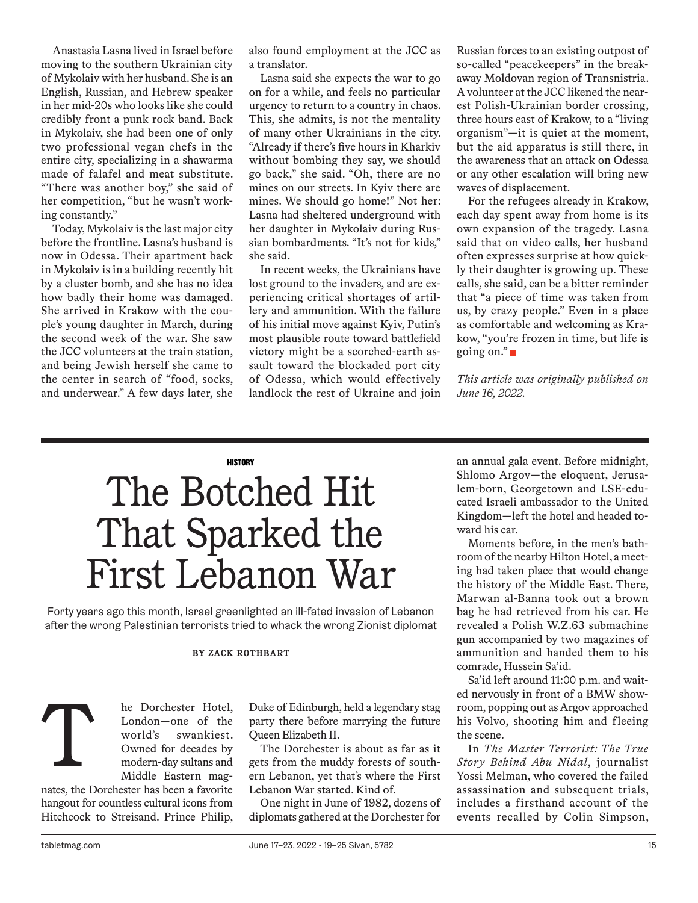Anastasia Lasna lived in Israel before moving to the southern Ukrainian city of Mykolaiv with her husband. She is an English, Russian, and Hebrew speaker in her mid-20s who looks like she could credibly front a punk rock band. Back in Mykolaiv, she had been one of only two professional vegan chefs in the entire city, specializing in a shawarma made of falafel and meat substitute. "There was another boy," she said of her competition, "but he wasn't working constantly."

Today, Mykolaiv is the last major city before the frontline. Lasna's husband is now in Odessa. Their apartment back in Mykolaiv is in a building recently hit by a cluster bomb, and she has no idea how badly their home was damaged. She arrived in Krakow with the couple's young daughter in March, during the second week of the war. She saw the JCC volunteers at the train station, and being Jewish herself she came to the center in search of "food, socks, and underwear." A few days later, she also found employment at the JCC as a translator.

Lasna said she expects the war to go on for a while, and feels no particular urgency to return to a country in chaos. This, she admits, is not the mentality of many other Ukrainians in the city. "Already if there's five hours in Kharkiv without bombing they say, we should go back," she said. "Oh, there are no mines on our streets. In Kyiv there are mines. We should go home!" Not her: Lasna had sheltered underground with her daughter in Mykolaiv during Russian bombardments. "It's not for kids," she said.

In recent weeks, the Ukrainians have lost ground to the invaders, and are experiencing critical shortages of artillery and ammunition. With the failure of his initial move against Kyiv, Putin's most plausible route toward battlefield victory might be a scorched-earth assault toward the blockaded port city of Odessa, which would effectively landlock the rest of Ukraine and join

Russian forces to an existing outpost of so-called "peacekeepers" in the breakaway Moldovan region of Transnistria. A volunteer at the JCC likened the nearest Polish-Ukrainian border crossing, three hours east of Krakow, to a "living organism"—it is quiet at the moment, but the aid apparatus is still there, in the awareness that an attack on Odessa or any other escalation will bring new waves of displacement.

For the refugees already in Krakow, each day spent away from home is its own expansion of the tragedy. Lasna said that on video calls, her husband often expresses surprise at how quickly their daughter is growing up. These calls, she said, can be a bitter reminder that "a piece of time was taken from us, by crazy people." Even in a place as comfortable and welcoming as Krakow, "you're frozen in time, but life is going on."

*This article was originally published on June 16, 2022.*

### **HISTORY**

# The Botched Hit That Sparked the First Lebanon War

Forty years ago this month, Israel greenlighted an ill-fated invasion of Lebanon after the wrong Palestinian terrorists tried to whack the wrong Zionist diplomat

### **BY ZACK ROTHBART**

he Dorchester Hotel, London—one of the world's swankiest. Owned for decades by modern-day sultans and Middle Eastern mag-

nates, the Dorchester has been a favorite hangout for countless cultural icons from Hitchcock to Streisand. Prince Philip, T

Duke of Edinburgh, held a legendary stag party there before marrying the future Queen Elizabeth II.

The Dorchester is about as far as it gets from the muddy forests of southern Lebanon, yet that's where the First Lebanon War started. Kind of.

One night in June of 1982, dozens of diplomats gathered at the Dorchester for an annual gala event. Before midnight, Shlomo Argov—the eloquent, Jerusalem-born, Georgetown and LSE-educated Israeli ambassador to the United Kingdom—left the hotel and headed toward his car.

Moments before, in the men's bathroom of the nearby Hilton Hotel, a meeting had taken place that would change the history of the Middle East. There, Marwan al-Banna took out a brown bag he had retrieved from his car. He revealed a Polish W.Z.63 submachine gun accompanied by two magazines of ammunition and handed them to his comrade, Hussein Sa'id.

Sa'id left around 11:00 p.m. and waited nervously in front of a BMW showroom, popping out as Argov approached his Volvo, shooting him and fleeing the scene.

In *The Master Terrorist: The True Story Behind Abu Nidal*, journalist Yossi Melman, who covered the failed assassination and subsequent trials, includes a firsthand account of the events recalled by Colin Simpson,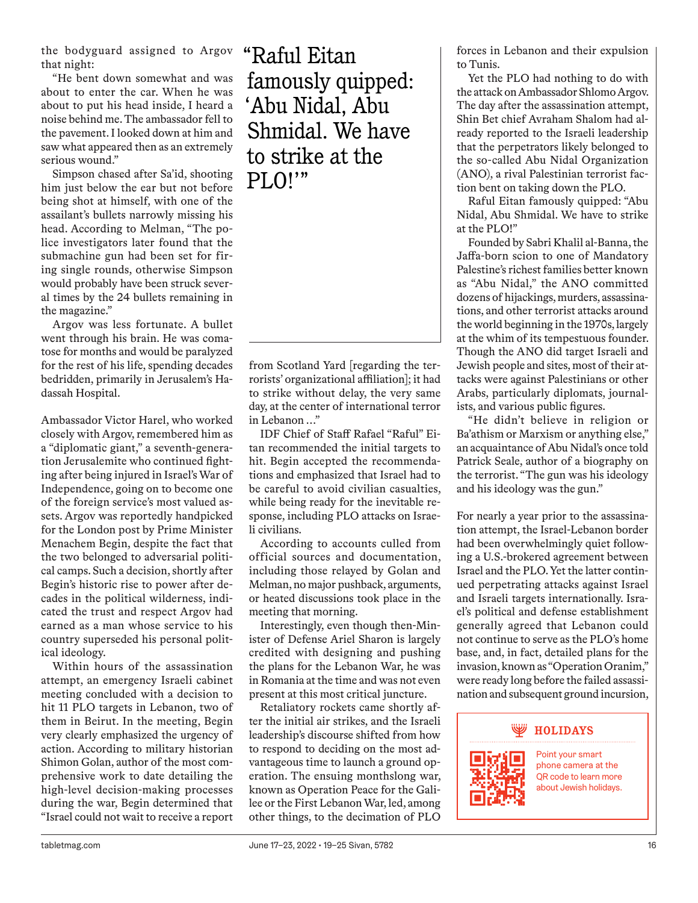the bodyguard assigned to Argov that night:

"He bent down somewhat and was about to enter the car. When he was about to put his head inside, I heard a noise behind me. The ambassador fell to the pavement. I looked down at him and saw what appeared then as an extremely serious wound."

Simpson chased after Sa'id, shooting him just below the ear but not before being shot at himself, with one of the assailant's bullets narrowly missing his head. According to Melman, "The police investigators later found that the submachine gun had been set for firing single rounds, otherwise Simpson would probably have been struck several times by the 24 bullets remaining in the magazine."

Argov was less fortunate. A bullet went through his brain. He was comatose for months and would be paralyzed for the rest of his life, spending decades bedridden, primarily in Jerusalem's Hadassah Hospital.

Ambassador Victor Harel, who worked closely with Argov, remembered him as a "diplomatic giant," a seventh-generation Jerusalemite who continued fighting after being injured in Israel's War of Independence, going on to become one of the foreign service's most valued assets. Argov was reportedly handpicked for the London post by Prime Minister Menachem Begin, despite the fact that the two belonged to adversarial political camps. Such a decision, shortly after Begin's historic rise to power after decades in the political wilderness, indicated the trust and respect Argov had earned as a man whose service to his country superseded his personal political ideology.

Within hours of the assassination attempt, an emergency Israeli cabinet meeting concluded with a decision to hit 11 PLO targets in Lebanon, two of them in Beirut. In the meeting, Begin very clearly emphasized the urgency of action. According to military historian Shimon Golan, author of the most comprehensive work to date detailing the high-level decision-making processes during the war, Begin determined that "Israel could not wait to receive a report

"Raful Eitan famously quipped: 'Abu Nidal, Abu Shmidal. We have to strike at the PLO!'"

from Scotland Yard [regarding the terrorists' organizational affiliation]; it had to strike without delay, the very same day, at the center of international terror in Lebanon …"

IDF Chief of Staff Rafael "Raful" Eitan recommended the initial targets to hit. Begin accepted the recommendations and emphasized that Israel had to be careful to avoid civilian casualties, while being ready for the inevitable response, including PLO attacks on Israeli civilians.

According to accounts culled from official sources and documentation, including those relayed by Golan and Melman, no major pushback, arguments, or heated discussions took place in the meeting that morning.

Interestingly, even though then-Minister of Defense Ariel Sharon is largely credited with designing and pushing the plans for the Lebanon War, he was in Romania at the time and was not even present at this most critical juncture.

Retaliatory rockets came shortly after the initial air strikes, and the Israeli leadership's discourse shifted from how to respond to deciding on the most advantageous time to launch a ground operation. The ensuing monthslong war, known as Operation Peace for the Galilee or the First Lebanon War, led, among other things, to the decimation of PLO

forces in Lebanon and their expulsion to Tunis.

Yet the PLO had nothing to do with the attack on Ambassador Shlomo Argov. The day after the assassination attempt, Shin Bet chief Avraham Shalom had already reported to the Israeli leadership that the perpetrators likely belonged to the so-called Abu Nidal Organization (ANO), a rival Palestinian terrorist faction bent on taking down the PLO.

Raful Eitan famously quipped: "Abu Nidal, Abu Shmidal. We have to strike at the PLO!"

Founded by Sabri Khalil al-Banna, the Jaffa-born scion to one of Mandatory Palestine's richest families better known as "Abu Nidal," the ANO committed dozens of hijackings, murders, assassinations, and other terrorist attacks around the world beginning in the 1970s, largely at the whim of its tempestuous founder. Though the ANO did target Israeli and Jewish people and sites, most of their attacks were against Palestinians or other Arabs, particularly diplomats, journalists, and various public figures.

"He didn't believe in religion or Ba'athism or Marxism or anything else," an acquaintance of Abu Nidal's once told Patrick Seale, author of a biography on the terrorist. "The gun was his ideology and his ideology was the gun."

For nearly a year prior to the assassination attempt, the Israel-Lebanon border had been overwhelmingly quiet following a U.S.-brokered agreement between Israel and the PLO. Yet the latter continued perpetrating attacks against Israel and Israeli targets internationally. Israel's political and defense establishment generally agreed that Lebanon could not continue to serve as the PLO's home base, and, in fact, detailed plans for the invasion, known as "Operation Oranim," were ready long before the failed assassination and subsequent ground incursion,



phone camera at the QR code to learn more about Jewish holidays.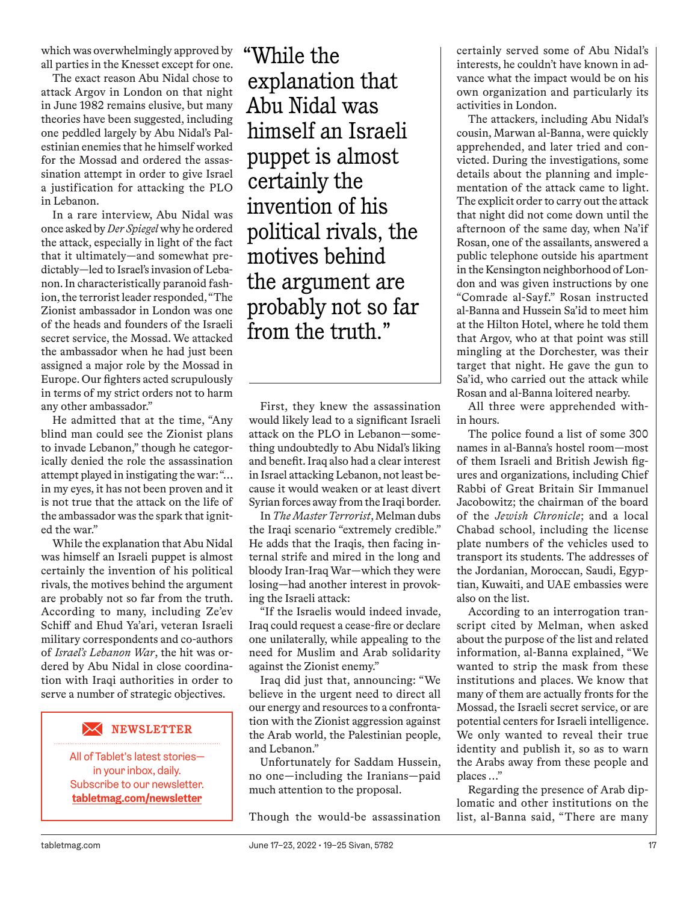which was overwhelmingly approved by all parties in the Knesset except for one.

The exact reason Abu Nidal chose to attack Argov in London on that night in June 1982 remains elusive, but many theories have been suggested, including one peddled largely by Abu Nidal's Palestinian enemies that he himself worked for the Mossad and ordered the assassination attempt in order to give Israel a justification for attacking the PLO in Lebanon.

In a rare interview, Abu Nidal was once asked by *Der Spiegel* why he ordered the attack, especially in light of the fact that it ultimately—and somewhat predictably—led to Israel's invasion of Lebanon. In characteristically paranoid fashion, the terrorist leader responded, "The Zionist ambassador in London was one of the heads and founders of the Israeli secret service, the Mossad. We attacked the ambassador when he had just been assigned a major role by the Mossad in Europe. Our fighters acted scrupulously in terms of my strict orders not to harm any other ambassador."

He admitted that at the time, "Any blind man could see the Zionist plans to invade Lebanon," though he categorically denied the role the assassination attempt played in instigating the war: "… in my eyes, it has not been proven and it is not true that the attack on the life of the ambassador was the spark that ignited the war."

While the explanation that Abu Nidal was himself an Israeli puppet is almost certainly the invention of his political rivals, the motives behind the argument are probably not so far from the truth. According to many, including Ze'ev Schiff and Ehud Ya'ari, veteran Israeli military correspondents and co-authors of *Israel's Lebanon War*, the hit was ordered by Abu Nidal in close coordination with Iraqi authorities in order to serve a number of strategic objectives.

#### $\boldsymbol{\times}$ **NEWSLETTER**

All of Tablet's latest stories in your inbox, daily. Subscribe to our newsletter. **tabletmag.com/newsletter**

"While the explanation that Abu Nidal was himself an Israeli puppet is almost certainly the invention of his political rivals, the motives behind the argument are probably not so far from the truth."

First, they knew the assassination would likely lead to a significant Israeli attack on the PLO in Lebanon—something undoubtedly to Abu Nidal's liking and benefit. Iraq also had a clear interest in Israel attacking Lebanon, not least because it would weaken or at least divert Syrian forces away from the Iraqi border.

In *The Master Terrorist*, Melman dubs the Iraqi scenario "extremely credible." He adds that the Iraqis, then facing internal strife and mired in the long and bloody Iran-Iraq War—which they were losing—had another interest in provoking the Israeli attack:

"If the Israelis would indeed invade, Iraq could request a cease-fire or declare one unilaterally, while appealing to the need for Muslim and Arab solidarity against the Zionist enemy."

Iraq did just that, announcing: "We believe in the urgent need to direct all our energy and resources to a confrontation with the Zionist aggression against the Arab world, the Palestinian people, and Lebanon."

Unfortunately for Saddam Hussein, no one—including the Iranians—paid much attention to the proposal.

Though the would-be assassination

certainly served some of Abu Nidal's interests, he couldn't have known in advance what the impact would be on his own organization and particularly its activities in London.

The attackers, including Abu Nidal's cousin, Marwan al-Banna, were quickly apprehended, and later tried and convicted. During the investigations, some details about the planning and implementation of the attack came to light. The explicit order to carry out the attack that night did not come down until the afternoon of the same day, when Na'if Rosan, one of the assailants, answered a public telephone outside his apartment in the Kensington neighborhood of London and was given instructions by one "Comrade al-Sayf." Rosan instructed al-Banna and Hussein Sa'id to meet him at the Hilton Hotel, where he told them that Argov, who at that point was still mingling at the Dorchester, was their target that night. He gave the gun to Sa'id, who carried out the attack while Rosan and al-Banna loitered nearby.

All three were apprehended within hours.

The police found a list of some 300 names in al-Banna's hostel room—most of them Israeli and British Jewish figures and organizations, including Chief Rabbi of Great Britain Sir Immanuel Jacobowitz; the chairman of the board of the *Jewish Chronicle*; and a local Chabad school, including the license plate numbers of the vehicles used to transport its students. The addresses of the Jordanian, Moroccan, Saudi, Egyptian, Kuwaiti, and UAE embassies were also on the list.

According to an interrogation transcript cited by Melman, when asked about the purpose of the list and related information, al-Banna explained, "We wanted to strip the mask from these institutions and places. We know that many of them are actually fronts for the Mossad, the Israeli secret service, or are potential centers for Israeli intelligence. We only wanted to reveal their true identity and publish it, so as to warn the Arabs away from these people and places …"

Regarding the presence of Arab diplomatic and other institutions on the list, al-Banna said, "There are many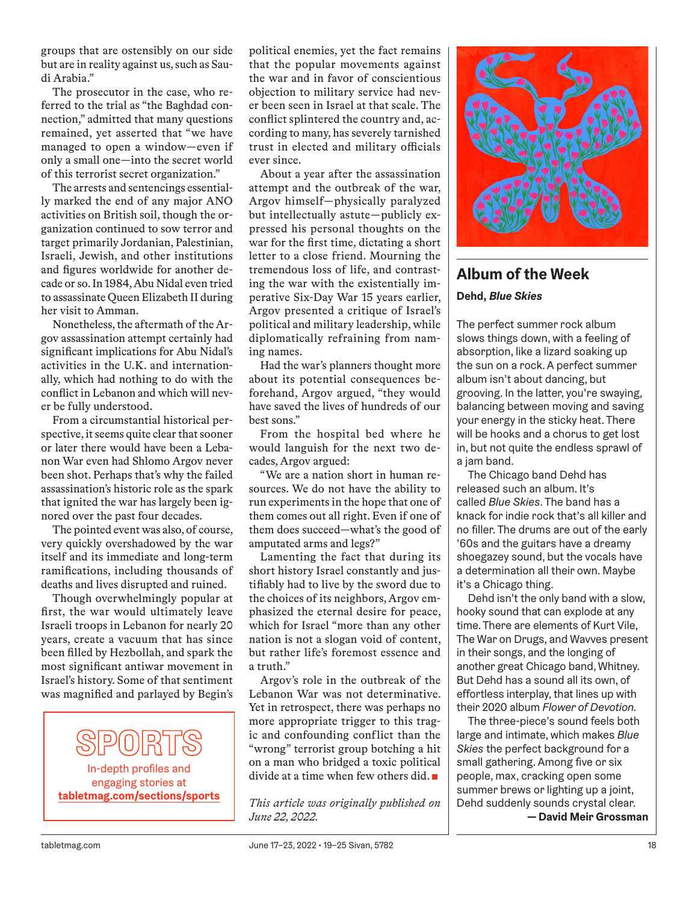groups that are ostensibly on our side but are in reality against us, such as Saudi Arabia."

The prosecutor in the case, who referred to the trial as "the Baghdad connection," admitted that many questions remained, yet asserted that "we have managed to open a window—even if only a small one—into the secret world of this terrorist secret organization."

The arrests and sentencings essentially marked the end of any major ANO activities on British soil, though the organization continued to sow terror and target primarily Jordanian, Palestinian, Israeli, Jewish, and other institutions and figures worldwide for another decade or so. In 1984, Abu Nidal even tried to assassinate Queen Elizabeth II during her visit to Amman.

Nonetheless, the aftermath of the Argov assassination attempt certainly had significant implications for Abu Nidal's activities in the U.K. and internationally, which had nothing to do with the conflict in Lebanon and which will never be fully understood.

From a circumstantial historical perspective, it seems quite clear that sooner or later there would have been a Lebanon War even had Shlomo Argov never been shot. Perhaps that's why the failed assassination's historic role as the spark that ignited the war has largely been ignored over the past four decades.

The pointed event was also, of course, very quickly overshadowed by the war itself and its immediate and long-term ramifications, including thousands of deaths and lives disrupted and ruined.

Though overwhelmingly popular at first, the war would ultimately leave Israeli troops in Lebanon for nearly 20 years, create a vacuum that has since been filled by Hezbollah, and spark the most significant antiwar movement in Israel's history. Some of that sentiment was magnified and parlayed by Begin's

In-depth profiles and engaging stories at **tabletmag.com/sections/sports** political enemies, yet the fact remains that the popular movements against the war and in favor of conscientious objection to military service had never been seen in Israel at that scale. The conflict splintered the country and, according to many, has severely tarnished trust in elected and military officials ever since.

About a year after the assassination attempt and the outbreak of the war, Argov himself—physically paralyzed but intellectually astute—publicly expressed his personal thoughts on the war for the first time, dictating a short letter to a close friend. Mourning the tremendous loss of life, and contrasting the war with the existentially imperative Six-Day War 15 years earlier, Argov presented a critique of Israel's political and military leadership, while diplomatically refraining from naming names.

Had the war's planners thought more about its potential consequences beforehand, Argov argued, "they would have saved the lives of hundreds of our best sons."

From the hospital bed where he would languish for the next two decades, Argov argued:

"We are a nation short in human resources. We do not have the ability to run experiments in the hope that one of them comes out all right. Even if one of them does succeed—what's the good of amputated arms and legs?"

Lamenting the fact that during its short history Israel constantly and justifiably had to live by the sword due to the choices of its neighbors, Argov emphasized the eternal desire for peace, which for Israel "more than any other nation is not a slogan void of content, but rather life's foremost essence and a truth."

Argov's role in the outbreak of the Lebanon War was not determinative. Yet in retrospect, there was perhaps no more appropriate trigger to this tragic and confounding conflict than the "wrong" terrorist group botching a hit on a man who bridged a toxic political divide at a time when few others did.

*This article was originally published on June 22, 2022.*



# **Album of the Week**

# **Dehd,** *Blue Skies*

The perfect summer rock album slows things down, with a feeling of absorption, like a lizard soaking up the sun on a rock. A perfect summer album isn't about dancing, but grooving. In the latter, you're swaying, balancing between moving and saving your energy in the sticky heat. There will be hooks and a chorus to get lost in, but not quite the endless sprawl of a jam band.

The Chicago band Dehd has released such an album. It's called *Blue Skies*. The band has a knack for indie rock that's all killer and no filler. The drums are out of the early '60s and the guitars have a dreamy shoegazey sound, but the vocals have a determination all their own. Maybe it's a Chicago thing.

Dehd isn't the only band with a slow, hooky sound that can explode at any time. There are elements of Kurt Vile, The War on Drugs, and Wavves present in their songs, and the longing of another great Chicago band, Whitney. But Dehd has a sound all its own, of effortless interplay, that lines up with their 2020 album *Flower of Devotion.*

The three-piece's sound feels both large and intimate, which makes *Blue Skies* the perfect background for a small gathering. Among five or six people, max, cracking open some summer brews or lighting up a joint, Dehd suddenly sounds crystal clear.

**— David Meir Grossman**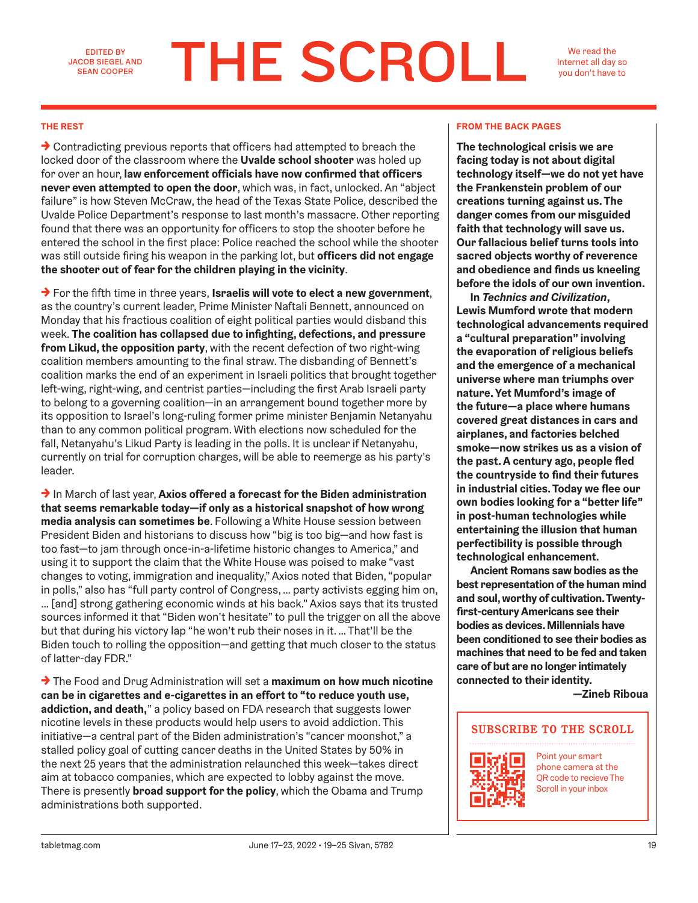EDITED BY JACOB SIEGEL AND SEAN COOPER

# **THE SCROLL**

We read the Internet all day so you don't have to

 $\rightarrow$  Contradicting previous reports that officers had attempted to breach the locked door of the classroom where the **Uvalde school shooter** was holed up for over an hour, **law enforcement officials have now confirmed that officers never even attempted to open the door**, which was, in fact, unlocked. An "abject failure" is how Steven McCraw, the head of the Texas State Police, described the Uvalde Police Department's response to last month's massacre. Other reporting found that there was an opportunity for officers to stop the shooter before he entered the school in the first place: Police reached the school while the shooter was still outside firing his weapon in the parking lot, but **officers did not engage the shooter out of fear for the children playing in the vicinity**.

→ For the fifth time in three years, **Israelis will vote to elect a new government**, as the country's current leader, Prime Minister Naftali Bennett, announced on Monday that his fractious coalition of eight political parties would disband this week. **The coalition has collapsed due to infighting, defections, and pressure from Likud, the opposition party**, with the recent defection of two right-wing coalition members amounting to the final straw. The disbanding of Bennett's coalition marks the end of an experiment in Israeli politics that brought together left-wing, right-wing, and centrist parties—including the first Arab Israeli party to belong to a governing coalition—in an arrangement bound together more by its opposition to Israel's long-ruling former prime minister Benjamin Netanyahu than to any common political program. With elections now scheduled for the fall, Netanyahu's Likud Party is leading in the polls. It is unclear if Netanyahu, currently on trial for corruption charges, will be able to reemerge as his party's leader.

→ In March of last year, **Axios offered a forecast for the Biden administration that seems remarkable today—if only as a historical snapshot of how wrong media analysis can sometimes be**. Following a White House session between President Biden and historians to discuss how "big is too big—and how fast is too fast—to jam through once-in-a-lifetime historic changes to America," and using it to support the claim that the White House was poised to make "vast changes to voting, immigration and inequality," Axios noted that Biden, "popular in polls," also has "full party control of Congress, … party activists egging him on, … [and] strong gathering economic winds at his back." Axios says that its trusted sources informed it that "Biden won't hesitate" to pull the trigger on all the above but that during his victory lap "he won't rub their noses in it. … That'll be the Biden touch to rolling the opposition—and getting that much closer to the status of latter-day FDR."

→ The Food and Drug Administration will set a **maximum on how much nicotine can be in cigarettes and e-cigarettes in an effort to "to reduce youth use, addiction, and death,**" a policy based on FDA research that suggests lower nicotine levels in these products would help users to avoid addiction. This initiative—a central part of the Biden administration's "cancer moonshot," a stalled policy goal of cutting cancer deaths in the United States by 50% in the next 25 years that the administration relaunched this week—takes direct aim at tobacco companies, which are expected to lobby against the move. There is presently **broad support for the policy**, which the Obama and Trump administrations both supported.

### **THE REST FROM THE BACK PAGES**

**The technological crisis we are facing today is not about digital technology itself—we do not yet have the Frankenstein problem of our creations turning against us. The danger comes from our misguided faith that technology will save us. Our fallacious belief turns tools into sacred objects worthy of reverence and obedience and finds us kneeling before the idols of our own invention.**

**In** *Technics and Civilization***, Lewis Mumford wrote that modern technological advancements required a "cultural preparation" involving the evaporation of religious beliefs and the emergence of a mechanical universe where man triumphs over nature. Yet Mumford's image of the future—a place where humans covered great distances in cars and airplanes, and factories belched smoke—now strikes us as a vision of the past. A century ago, people fled the countryside to find their futures in industrial cities. Today we flee our own bodies looking for a "better life" in post-human technologies while entertaining the illusion that human perfectibility is possible through technological enhancement.**

**Ancient Romans saw bodies as the best representation of the human mind and soul, worthy of cultivation. Twentyfirst-century Americans see their bodies as devices. Millennials have been conditioned to see their bodies as machines that need to be fed and taken care of but are no longer intimately connected to their identity.** 

**—Zineb Riboua**

# **SUBSCRIBE TO THE SCROLL**



Point your smart phone camera at the QR code to recieve The Scroll in your inbox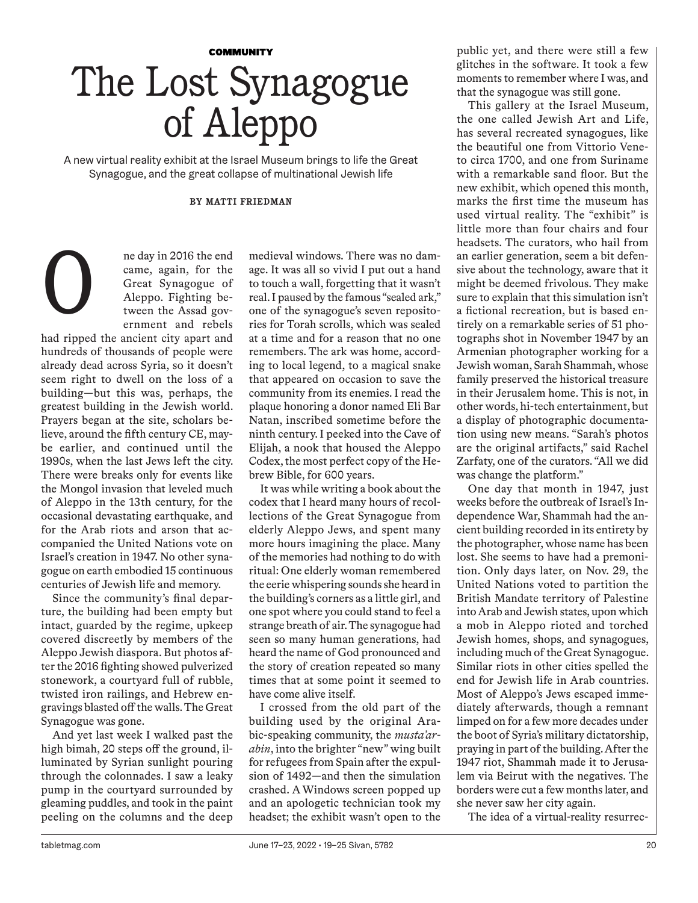# **COMMUNITY** The Lost Synagogue of Aleppo

A new virtual reality exhibit at the Israel Museum brings to life the Great Synagogue, and the great collapse of multinational Jewish life

### **BY MATTI FRIEDMAN**

ne day in 2016 the end came, again, for the Great Synagogue of Aleppo. Fighting between the Assad government and rebels

had ripped the ancient city apart and hundreds of thousands of people were already dead across Syria, so it doesn't seem right to dwell on the loss of a building—but this was, perhaps, the greatest building in the Jewish world. Prayers began at the site, scholars believe, around the fifth century CE, maybe earlier, and continued until the 1990s, when the last Jews left the city. There were breaks only for events like the Mongol invasion that leveled much of Aleppo in the 13th century, for the occasional devastating earthquake, and for the Arab riots and arson that accompanied the United Nations vote on Israel's creation in 1947. No other synagogue on earth embodied 15 continuous centuries of Jewish life and memory.

O

Since the community's final departure, the building had been empty but intact, guarded by the regime, upkeep covered discreetly by members of the Aleppo Jewish diaspora. But photos after the 2016 fighting showed pulverized stonework, a courtyard full of rubble, twisted iron railings, and Hebrew engravings blasted off the walls. The Great Synagogue was gone.

And yet last week I walked past the high bimah, 20 steps off the ground, illuminated by Syrian sunlight pouring through the colonnades. I saw a leaky pump in the courtyard surrounded by gleaming puddles, and took in the paint peeling on the columns and the deep

medieval windows. There was no damage. It was all so vivid I put out a hand to touch a wall, forgetting that it wasn't real. I paused by the famous "sealed ark," one of the synagogue's seven repositories for Torah scrolls, which was sealed at a time and for a reason that no one remembers. The ark was home, according to local legend, to a magical snake that appeared on occasion to save the community from its enemies. I read the plaque honoring a donor named Eli Bar Natan, inscribed sometime before the ninth century. I peeked into the Cave of Elijah, a nook that housed the Aleppo Codex, the most perfect copy of the Hebrew Bible, for 600 years.

It was while writing a book about the codex that I heard many hours of recollections of the Great Synagogue from elderly Aleppo Jews, and spent many more hours imagining the place. Many of the memories had nothing to do with ritual: One elderly woman remembered the eerie whispering sounds she heard in the building's corners as a little girl, and one spot where you could stand to feel a strange breath of air. The synagogue had seen so many human generations, had heard the name of God pronounced and the story of creation repeated so many times that at some point it seemed to have come alive itself.

I crossed from the old part of the building used by the original Arabic-speaking community, the *musta'arabin*, into the brighter "new" wing built for refugees from Spain after the expulsion of 1492—and then the simulation crashed. A Windows screen popped up and an apologetic technician took my headset; the exhibit wasn't open to the public yet, and there were still a few glitches in the software. It took a few moments to remember where I was, and that the synagogue was still gone.

This gallery at the Israel Museum, the one called Jewish Art and Life, has several recreated synagogues, like the beautiful one from Vittorio Veneto circa 1700, and one from Suriname with a remarkable sand floor. But the new exhibit, which opened this month, marks the first time the museum has used virtual reality. The "exhibit" is little more than four chairs and four headsets. The curators, who hail from an earlier generation, seem a bit defensive about the technology, aware that it might be deemed frivolous. They make sure to explain that this simulation isn't a fictional recreation, but is based entirely on a remarkable series of 51 photographs shot in November 1947 by an Armenian photographer working for a Jewish woman, Sarah Shammah, whose family preserved the historical treasure in their Jerusalem home. This is not, in other words, hi-tech entertainment, but a display of photographic documentation using new means. "Sarah's photos are the original artifacts," said Rachel Zarfaty, one of the curators. "All we did was change the platform."

One day that month in 1947, just weeks before the outbreak of Israel's Independence War, Shammah had the ancient building recorded in its entirety by the photographer, whose name has been lost. She seems to have had a premonition. Only days later, on Nov. 29, the United Nations voted to partition the British Mandate territory of Palestine into Arab and Jewish states, upon which a mob in Aleppo rioted and torched Jewish homes, shops, and synagogues, including much of the Great Synagogue. Similar riots in other cities spelled the end for Jewish life in Arab countries. Most of Aleppo's Jews escaped immediately afterwards, though a remnant limped on for a few more decades under the boot of Syria's military dictatorship, praying in part of the building. After the 1947 riot, Shammah made it to Jerusalem via Beirut with the negatives. The borders were cut a few months later, and she never saw her city again.

The idea of a virtual-reality resurrec-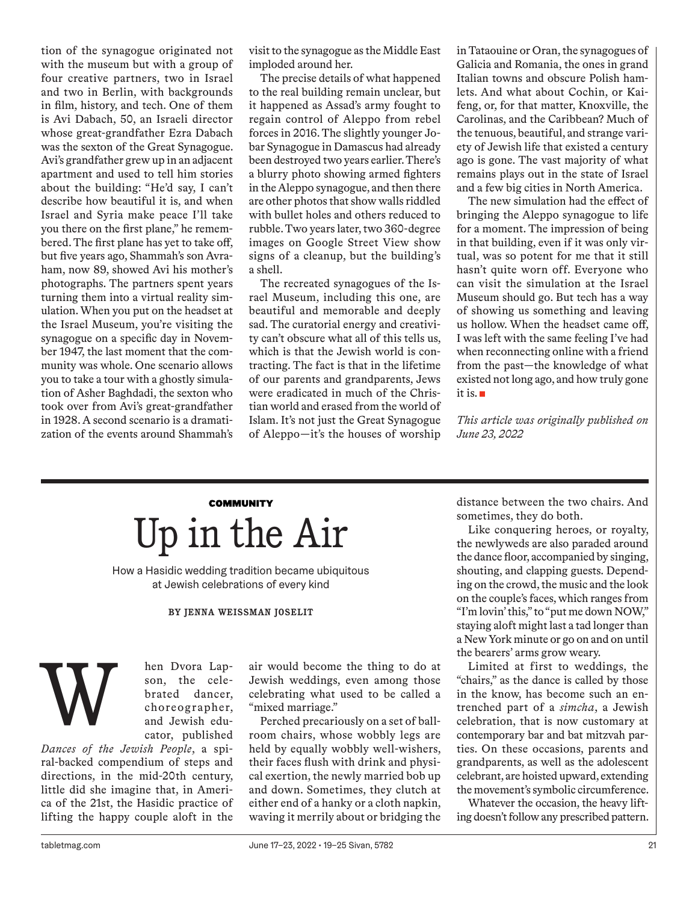tion of the synagogue originated not with the museum but with a group of four creative partners, two in Israel and two in Berlin, with backgrounds in film, history, and tech. One of them is Avi Dabach, 50, an Israeli director whose great-grandfather Ezra Dabach was the sexton of the Great Synagogue. Avi's grandfather grew up in an adjacent apartment and used to tell him stories about the building: "He'd say, I can't describe how beautiful it is, and when Israel and Syria make peace I'll take you there on the first plane," he remembered. The first plane has yet to take off, but five years ago, Shammah's son Avraham, now 89, showed Avi his mother's photographs. The partners spent years turning them into a virtual reality simulation. When you put on the headset at the Israel Museum, you're visiting the synagogue on a specific day in November 1947, the last moment that the community was whole. One scenario allows you to take a tour with a ghostly simulation of Asher Baghdadi, the sexton who took over from Avi's great-grandfather in 1928. A second scenario is a dramatization of the events around Shammah's

visit to the synagogue as the Middle East imploded around her.

The precise details of what happened to the real building remain unclear, but it happened as Assad's army fought to regain control of Aleppo from rebel forces in 2016. The slightly younger Jobar Synagogue in Damascus had already been destroyed two years earlier. There's a blurry photo showing armed fighters in the Aleppo synagogue, and then there are other photos that show walls riddled with bullet holes and others reduced to rubble. Two years later, two 360-degree images on Google Street View show signs of a cleanup, but the building's a shell.

The recreated synagogues of the Israel Museum, including this one, are beautiful and memorable and deeply sad. The curatorial energy and creativity can't obscure what all of this tells us, which is that the Jewish world is contracting. The fact is that in the lifetime of our parents and grandparents, Jews were eradicated in much of the Christian world and erased from the world of Islam. It's not just the Great Synagogue of Aleppo—it's the houses of worship

in Tataouine or Oran, the synagogues of Galicia and Romania, the ones in grand Italian towns and obscure Polish hamlets. And what about Cochin, or Kaifeng, or, for that matter, Knoxville, the Carolinas, and the Caribbean? Much of the tenuous, beautiful, and strange variety of Jewish life that existed a century ago is gone. The vast majority of what remains plays out in the state of Israel and a few big cities in North America.

The new simulation had the effect of bringing the Aleppo synagogue to life for a moment. The impression of being in that building, even if it was only virtual, was so potent for me that it still hasn't quite worn off. Everyone who can visit the simulation at the Israel Museum should go. But tech has a way of showing us something and leaving us hollow. When the headset came off, I was left with the same feeling I've had when reconnecting online with a friend from the past—the knowledge of what existed not long ago, and how truly gone it is.

*This article was originally published on June 23, 2022*

# **COMMUNITY** Up in the Air

How a Hasidic wedding tradition became ubiquitous at Jewish celebrations of every kind

## **BY JENNA WEISSMAN JOSELIT**

W

hen Dvora Lapson, the celebrated dancer, choreographer, and Jewish educator, published

*Dances of the Jewish People*, a spiral-backed compendium of steps and directions, in the mid-20th century, little did she imagine that, in America of the 21st, the Hasidic practice of lifting the happy couple aloft in the

air would become the thing to do at Jewish weddings, even among those celebrating what used to be called a "mixed marriage."

Perched precariously on a set of ballroom chairs, whose wobbly legs are held by equally wobbly well-wishers, their faces flush with drink and physical exertion, the newly married bob up and down. Sometimes, they clutch at either end of a hanky or a cloth napkin, waving it merrily about or bridging the distance between the two chairs. And sometimes, they do both.

Like conquering heroes, or royalty, the newlyweds are also paraded around the dance floor, accompanied by singing, shouting, and clapping guests. Depending on the crowd, the music and the look on the couple's faces, which ranges from "I'm lovin' this," to "put me down NOW," staying aloft might last a tad longer than a New York minute or go on and on until the bearers' arms grow weary.

Limited at first to weddings, the "chairs," as the dance is called by those in the know, has become such an entrenched part of a *simcha*, a Jewish celebration, that is now customary at contemporary bar and bat mitzvah parties. On these occasions, parents and grandparents, as well as the adolescent celebrant, are hoisted upward, extending the movement's symbolic circumference.

Whatever the occasion, the heavy lifting doesn't follow any prescribed pattern.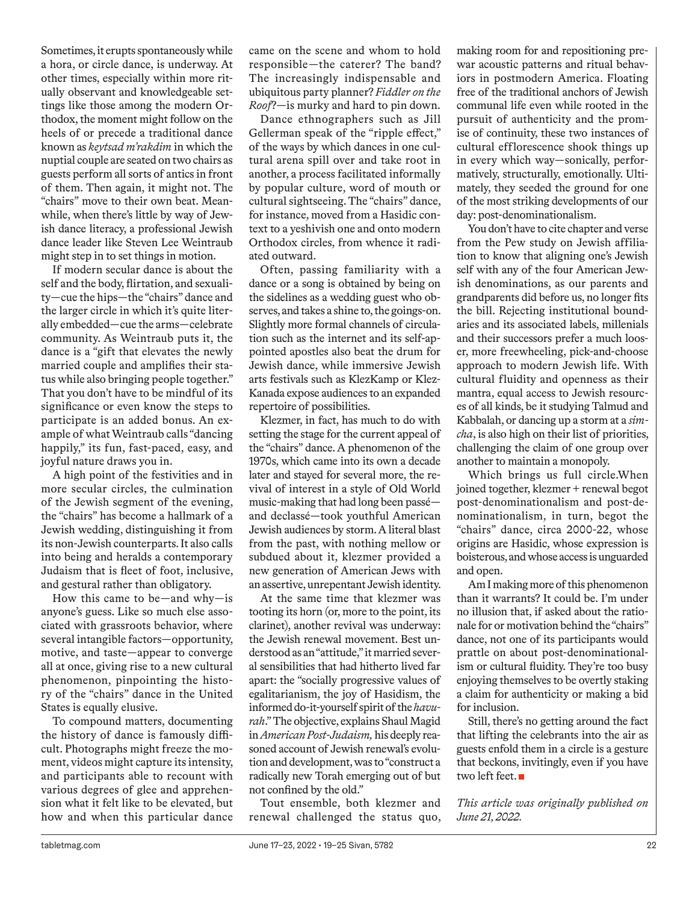Sometimes, it erupts spontaneously while a hora, or circle dance, is underway. At other times, especially within more ritually observant and knowledgeable settings like those among the modern Orthodox, the moment might follow on the heels of or precede a traditional dance known as *keytsad m'rakdim* in which the nuptial couple are seated on two chairs as guests perform all sorts of antics in front of them. Then again, it might not. The "chairs" move to their own beat. Meanwhile, when there's little by way of Jewish dance literacy, a professional Jewish dance leader like Steven Lee Weintraub might step in to set things in motion.

If modern secular dance is about the self and the body, flirtation, and sexuality—cue the hips—the "chairs" dance and the larger circle in which it's quite literally embedded—cue the arms—celebrate community. As Weintraub puts it, the dance is a "gift that elevates the newly married couple and amplifies their status while also bringing people together." That you don't have to be mindful of its significance or even know the steps to participate is an added bonus. An example of what Weintraub calls "dancing happily," its fun, fast-paced, easy, and joyful nature draws you in.

A high point of the festivities and in more secular circles, the culmination of the Jewish segment of the evening, the "chairs" has become a hallmark of a Jewish wedding, distinguishing it from its non-Jewish counterparts. It also calls into being and heralds a contemporary Judaism that is fleet of foot, inclusive, and gestural rather than obligatory.

How this came to be—and why—is anyone's guess. Like so much else associated with grassroots behavior, where several intangible factors—opportunity, motive, and taste—appear to converge all at once, giving rise to a new cultural phenomenon, pinpointing the history of the "chairs" dance in the United States is equally elusive.

To compound matters, documenting the history of dance is famously difficult. Photographs might freeze the moment, videos might capture its intensity, and participants able to recount with various degrees of glee and apprehension what it felt like to be elevated, but how and when this particular dance came on the scene and whom to hold responsible—the caterer? The band? The increasingly indispensable and ubiquitous party planner? *Fiddler on the Roof*?—is murky and hard to pin down.

Dance ethnographers such as Jill Gellerman speak of the "ripple effect," of the ways by which dances in one cultural arena spill over and take root in another, a process facilitated informally by popular culture, word of mouth or cultural sightseeing. The "chairs" dance, for instance, moved from a Hasidic context to a yeshivish one and onto modern Orthodox circles, from whence it radiated outward.

Often, passing familiarity with a dance or a song is obtained by being on the sidelines as a wedding guest who observes, and takes a shine to, the goings-on. Slightly more formal channels of circulation such as the internet and its self-appointed apostles also beat the drum for Jewish dance, while immersive Jewish arts festivals such as KlezKamp or Klez-Kanada expose audiences to an expanded repertoire of possibilities.

Klezmer, in fact, has much to do with setting the stage for the current appeal of the "chairs" dance. A phenomenon of the 1970s, which came into its own a decade later and stayed for several more, the revival of interest in a style of Old World music-making that had long been passé and declassé—took youthful American Jewish audiences by storm. A literal blast from the past, with nothing mellow or subdued about it, klezmer provided a new generation of American Jews with an assertive, unrepentant Jewish identity.

At the same time that klezmer was tooting its horn (or, more to the point, its clarinet), another revival was underway: the Jewish renewal movement. Best understood as an "attitude," it married several sensibilities that had hitherto lived far apart: the "socially progressive values of egalitarianism, the joy of Hasidism, the informed do-it-yourself spirit of the *havurah*." The objective, explains Shaul Magid in *American Post-Judaism,* his deeply reasoned account of Jewish renewal's evolution and development, was to "construct a radically new Torah emerging out of but not confined by the old."

Tout ensemble, both klezmer and renewal challenged the status quo,

making room for and repositioning prewar acoustic patterns and ritual behaviors in postmodern America. Floating free of the traditional anchors of Jewish communal life even while rooted in the pursuit of authenticity and the promise of continuity, these two instances of cultural efflorescence shook things up in every which way—sonically, performatively, structurally, emotionally. Ultimately, they seeded the ground for one of the most striking developments of our day: post-denominationalism.

You don't have to cite chapter and verse from the Pew study on Jewish affiliation to know that aligning one's Jewish self with any of the four American Jewish denominations, as our parents and grandparents did before us, no longer fits the bill. Rejecting institutional boundaries and its associated labels, millenials and their successors prefer a much looser, more freewheeling, pick-and-choose approach to modern Jewish life. With cultural fluidity and openness as their mantra, equal access to Jewish resources of all kinds, be it studying Talmud and Kabbalah, or dancing up a storm at a *simcha*, is also high on their list of priorities, challenging the claim of one group over another to maintain a monopoly.

Which brings us full circle.When joined together, klezmer + renewal begot post-denominationalism and post-denominationalism, in turn, begot the "chairs" dance, circa 2000-22, whose origins are Hasidic, whose expression is boisterous, and whose access is unguarded and open.

Am I making more of this phenomenon than it warrants? It could be. I'm under no illusion that, if asked about the rationale for or motivation behind the "chairs" dance, not one of its participants would prattle on about post-denominationalism or cultural fluidity. They're too busy enjoying themselves to be overtly staking a claim for authenticity or making a bid for inclusion.

Still, there's no getting around the fact that lifting the celebrants into the air as guests enfold them in a circle is a gesture that beckons, invitingly, even if you have two left feet.

*This article was originally published on June 21, 2022.*